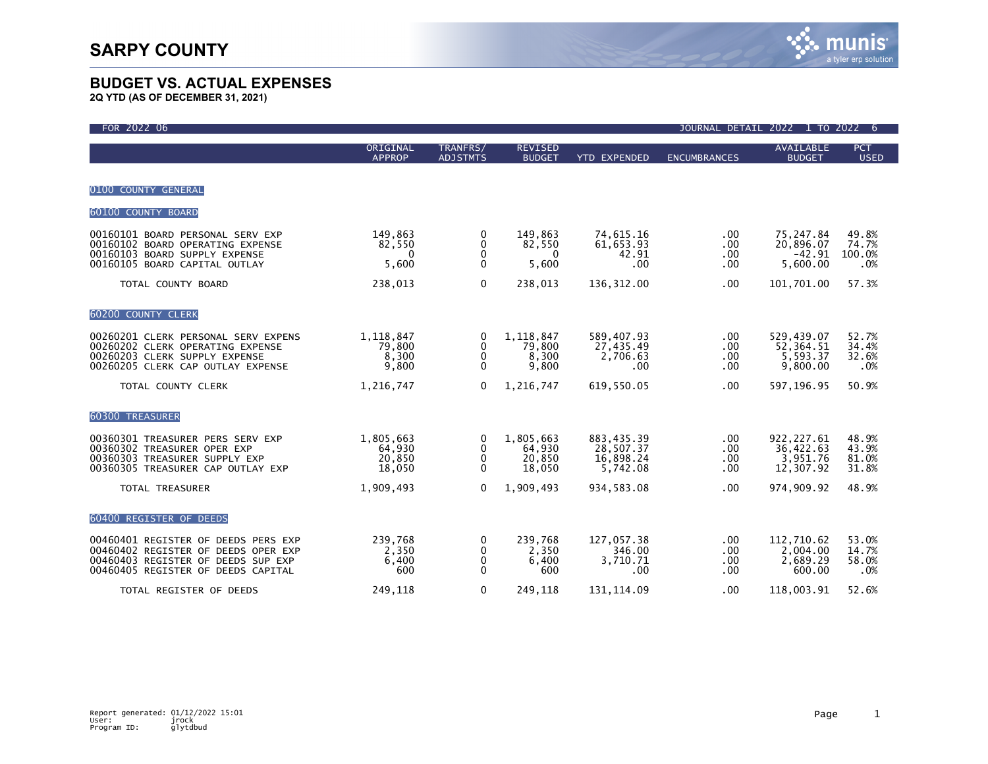| FOR 2022 06                                                                                                                                            |                                            |                                        |                                         |                                                         |                            | JOURNAL DETAIL 2022 1 TO 2022 6                   |                                  |
|--------------------------------------------------------------------------------------------------------------------------------------------------------|--------------------------------------------|----------------------------------------|-----------------------------------------|---------------------------------------------------------|----------------------------|---------------------------------------------------|----------------------------------|
|                                                                                                                                                        | ORIGINAL<br><b>APPROP</b>                  | TRANFRS/<br><b>ADJSTMTS</b>            | <b>REVISED</b><br><b>BUDGET</b>         | <b>YTD EXPENDED</b>                                     | <b>ENCUMBRANCES</b>        | <b>AVAILABLE</b><br><b>BUDGET</b>                 | <b>PCT</b><br><b>USED</b>        |
| 0100 COUNTY GENERAL                                                                                                                                    |                                            |                                        |                                         |                                                         |                            |                                                   |                                  |
| 60100 COUNTY BOARD                                                                                                                                     |                                            |                                        |                                         |                                                         |                            |                                                   |                                  |
| 00160101 BOARD PERSONAL SERV EXP<br>00160102 BOARD OPERATING EXPENSE<br>00160103 BOARD SUPPLY EXPENSE<br>00160105 BOARD CAPITAL OUTLAY                 | 149,863<br>82,550<br>$\mathbf{0}$<br>5,600 | 0<br>$\mathbf{0}$<br>0<br>$\mathbf{0}$ | 149,863<br>82,550<br>$\Omega$<br>5,600  | 74,615.16<br>61,653.93<br>42.91<br>.00 <sub>1</sub>     | .00.<br>.00<br>.00<br>.00  | 75,247.84<br>20,896.07<br>$-42.91$<br>5,600.00    | 49.8%<br>74.7%<br>100.0%<br>.0%  |
| TOTAL COUNTY BOARD                                                                                                                                     | 238,013                                    | $\mathbf 0$                            | 238,013                                 | 136, 312.00                                             | .00                        | 101,701.00                                        | 57.3%                            |
| 60200 COUNTY CLERK                                                                                                                                     |                                            |                                        |                                         |                                                         |                            |                                                   |                                  |
| 00260201 CLERK PERSONAL SERV EXPENS<br>00260202 CLERK OPERATING EXPENSE<br>00260203 CLERK SUPPLY EXPENSE<br>00260205 CLERK CAP OUTLAY EXPENSE          | 1,118,847<br>79,800<br>8,300<br>9,800      | 0<br>$\mathbf 0$<br>0<br>$\mathbf{0}$  | 1,118,847<br>79,800<br>8,300<br>9,800   | 589,407.93<br>27,435.49<br>2,706.63<br>.00 <sub>1</sub> | .00.<br>.00<br>.00.<br>.00 | 529,439.07<br>52, 364.51<br>5,593.37<br>9,800.00  | 52.7%<br>34.4%<br>32.6%<br>.0%   |
| TOTAL COUNTY CLERK                                                                                                                                     | 1,216,747                                  | $\mathbf{0}$                           | 1,216,747                               | 619.550.05                                              | .00                        | 597, 196.95                                       | 50.9%                            |
| <b>60300 TREASURER</b>                                                                                                                                 |                                            |                                        |                                         |                                                         |                            |                                                   |                                  |
| 00360301 TREASURER PERS SERV EXP<br>00360302 TREASURER OPER EXP<br>00360303 TREASURER SUPPLY EXP<br>00360305 TREASURER CAP OUTLAY EXP                  | 1,805,663<br>64,930<br>20,850<br>18,050    | 0<br>$\mathbf 0$<br>0<br>$\mathbf{0}$  | 1,805,663<br>64,930<br>20,850<br>18,050 | 883,435.39<br>28,507.37<br>16,898.24<br>5,742.08        | .00.<br>.00<br>.00<br>.00  | 922, 227.61<br>36,422.63<br>3,951.76<br>12,307.92 | 48.9%<br>43.9%<br>81.0%<br>31.8% |
| TOTAL TREASURER                                                                                                                                        | 1,909,493                                  | $\mathbf{0}$                           | 1,909,493                               | 934.583.08                                              | .00.                       | 974,909.92                                        | 48.9%                            |
| 60400 REGISTER OF DEEDS                                                                                                                                |                                            |                                        |                                         |                                                         |                            |                                                   |                                  |
| 00460401 REGISTER OF DEEDS PERS EXP<br>00460402 REGISTER OF DEEDS OPER EXP<br>00460403 REGISTER OF DEEDS SUP EXP<br>00460405 REGISTER OF DEEDS CAPITAL | 239,768<br>2,350<br>6,400<br>600           | 0<br>0<br>$\mathbf 0$<br>$\mathbf 0$   | 239,768<br>2,350<br>6,400<br>600        | 127,057.38<br>346.00<br>3,710.71<br>.00 <sub>1</sub>    | .00.<br>.00<br>.00<br>.00  | 112,710.62<br>2,004.00<br>2,689.29<br>600.00      | 53.0%<br>14.7%<br>58.0%<br>.0%   |
| TOTAL REGISTER OF DEEDS                                                                                                                                | 249.118                                    | $\mathbf 0$                            | 249.118                                 | 131.114.09                                              | .00                        | 118.003.91                                        | 52.6%                            |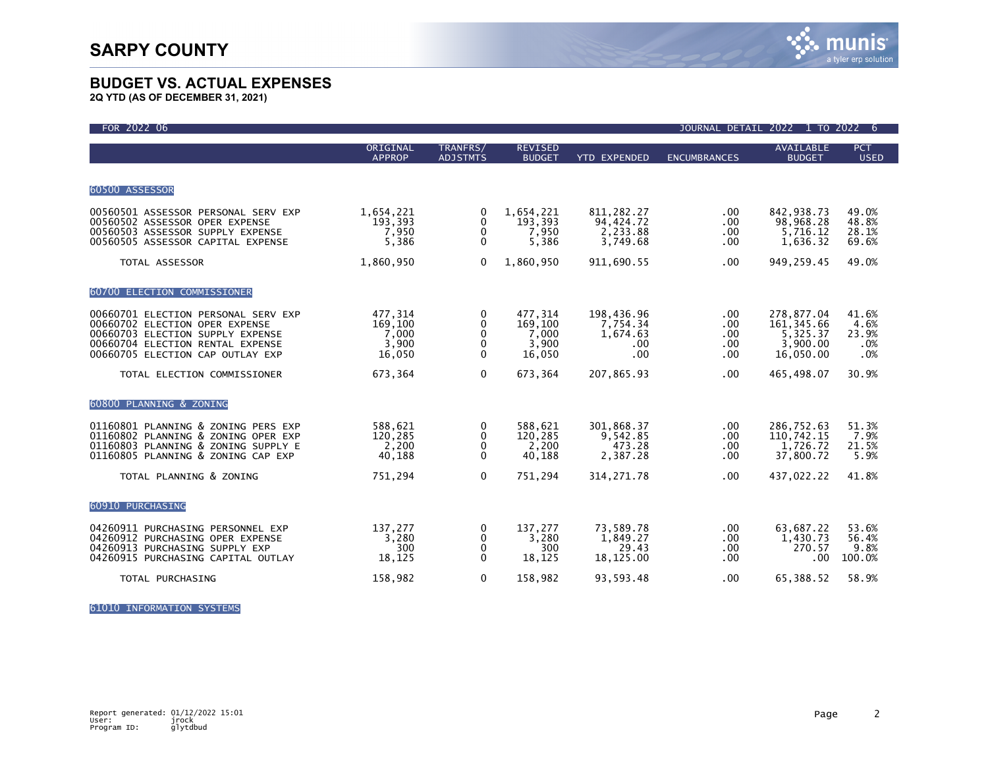

**2Q YTD (AS OF DECEMBER 31, 2021)**

| FOR 2022 06                                                                                                                                                                       |                                                |                                                    |                                                |                                                   |                                 | JOURNAL DETAIL 2022 1 TO 2022                                  | 6                                    |
|-----------------------------------------------------------------------------------------------------------------------------------------------------------------------------------|------------------------------------------------|----------------------------------------------------|------------------------------------------------|---------------------------------------------------|---------------------------------|----------------------------------------------------------------|--------------------------------------|
|                                                                                                                                                                                   | ORIGINAL<br><b>APPROP</b>                      | TRANFRS/<br><b>ADJSTMTS</b>                        | <b>REVISED</b><br><b>BUDGET</b>                | <b>YTD EXPENDED</b>                               | <b>ENCUMBRANCES</b>             | <b>AVAILABLE</b><br><b>BUDGET</b>                              | <b>PCT</b><br><b>USED</b>            |
| 60500 ASSESSOR                                                                                                                                                                    |                                                |                                                    |                                                |                                                   |                                 |                                                                |                                      |
| 00560501 ASSESSOR PERSONAL SERV EXP<br>00560502 ASSESSOR OPER EXPENSE<br>00560503 ASSESSOR SUPPLY EXPENSE<br>00560505 ASSESSOR CAPITAL EXPENSE                                    | 1,654,221<br>193,393<br>7,950<br>5,386         | 0<br>0<br>0<br>$\Omega$                            | 1,654,221<br>193,393<br>7,950<br>5,386         | 811, 282. 27<br>94,424.72<br>2,233.88<br>3,749.68 | $.00 \,$<br>.00<br>.00<br>.00   | 842,938.73<br>98,968.28<br>5,716.12<br>1,636.32                | 49.0%<br>48.8%<br>28.1%<br>69.6%     |
| TOTAL ASSESSOR                                                                                                                                                                    | 1,860,950                                      | $\mathbf{0}$                                       | 1,860,950                                      | 911,690.55                                        | .00                             | 949,259.45                                                     | 49.0%                                |
| 60700 ELECTION COMMISSIONER                                                                                                                                                       |                                                |                                                    |                                                |                                                   |                                 |                                                                |                                      |
| 00660701 ELECTION PERSONAL SERV EXP<br>00660702 ELECTION OPER EXPENSE<br>00660703 ELECTION SUPPLY EXPENSE<br>00660704 ELECTION RENTAL EXPENSE<br>00660705 ELECTION CAP OUTLAY EXP | 477,314<br>169,100<br>7,000<br>3,900<br>16,050 | 0<br>0<br>$\mathbf{0}$<br>$\mathbf{0}$<br>$\Omega$ | 477,314<br>169,100<br>7,000<br>3,900<br>16,050 | 198,436.96<br>7,754.34<br>1,674.63<br>.00<br>.00  | .00<br>.00<br>.00<br>.00<br>.00 | 278,877.04<br>161, 345.66<br>5,325.37<br>3,900.00<br>16,050.00 | 41.6%<br>4.6%<br>23.9%<br>.0%<br>.0% |
| TOTAL ELECTION COMMISSIONER                                                                                                                                                       | 673,364                                        | $\Omega$                                           | 673,364                                        | 207,865.93                                        | .00                             | 465,498.07                                                     | 30.9%                                |
| 60800 PLANNING & ZONING                                                                                                                                                           |                                                |                                                    |                                                |                                                   |                                 |                                                                |                                      |
| 01160801 PLANNING & ZONING PERS EXP<br>01160802 PLANNING & ZONING OPER EXP<br>01160803 PLANNING & ZONING SUPPLY E<br>01160805 PLANNING & ZONING CAP EXP                           | 588,621<br>120,285<br>2,200<br>40,188          | 0<br>0<br>0<br>$\Omega$                            | 588,621<br>120,285<br>2,200<br>40,188          | 301,868.37<br>9,542.85<br>473.28<br>2,387.28      | .00<br>.00<br>.00.<br>.00       | 286,752.63<br>110,742.15<br>1,726.72<br>37,800.72              | 51.3%<br>7.9%<br>21.5%<br>5.9%       |
| TOTAL PLANNING & ZONING                                                                                                                                                           | 751,294                                        | $\mathbf 0$                                        | 751,294                                        | 314, 271.78                                       | .00                             | 437,022.22                                                     | 41.8%                                |
| 60910 PURCHASING                                                                                                                                                                  |                                                |                                                    |                                                |                                                   |                                 |                                                                |                                      |
| 04260911 PURCHASING PERSONNEL EXP<br>04260912 PURCHASING OPER EXPENSE<br>04260913 PURCHASING SUPPLY EXP<br>04260915 PURCHASING CAPITAL OUTLAY                                     | 137,277<br>3,280<br>300<br>18,125              | 0<br>0<br>$\Omega$<br>$\mathbf{0}$                 | 137,277<br>3,280<br>300<br>18,125              | 73,589.78<br>1,849.27<br>29.43<br>18,125.00       | .00.<br>.00<br>.00<br>.00       | 63,687.22<br>1,430.73<br>270.57<br>.00                         | 53.6%<br>56.4%<br>9.8%<br>100.0%     |
| TOTAL PURCHASING                                                                                                                                                                  | 158,982                                        | $\mathbf{0}$                                       | 158,982                                        | 93,593.48                                         | .00                             | 65,388.52                                                      | 58.9%                                |

61010 INFORMATION SYSTEMS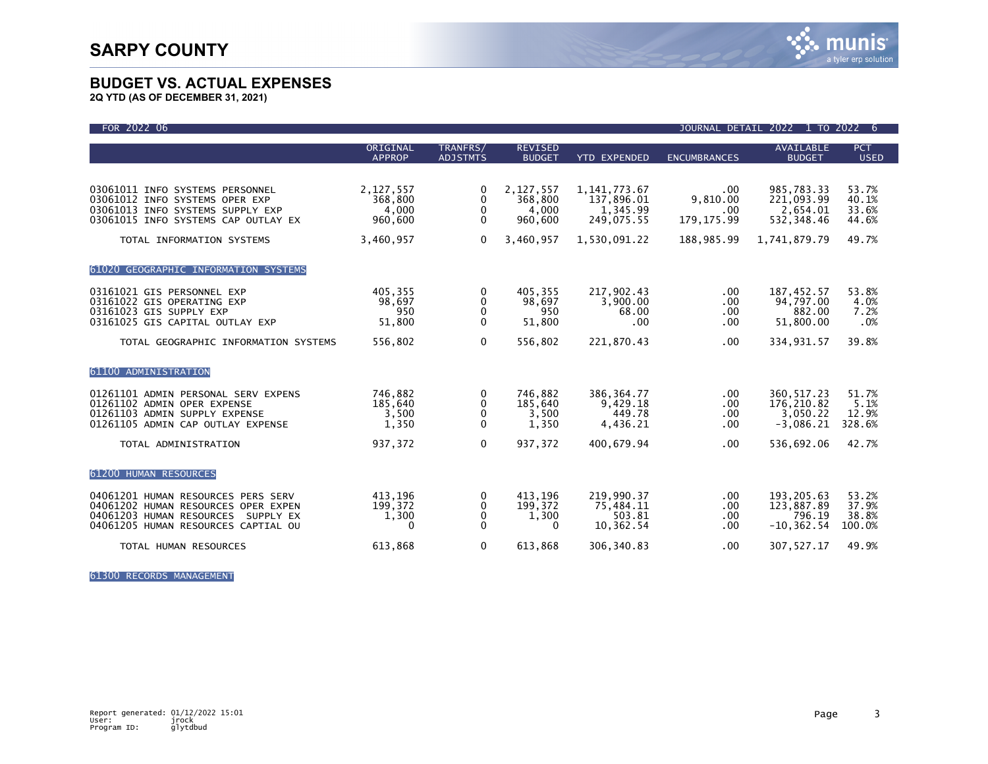

**2Q YTD (AS OF DECEMBER 31, 2021)**

| FOR 2022 06                                                                                                                                                               |                                                       |                                                              |                                                       |                                                                         |                                                     | JOURNAL DETAIL 2022 1 TO 2022                                       | -6                                        |
|---------------------------------------------------------------------------------------------------------------------------------------------------------------------------|-------------------------------------------------------|--------------------------------------------------------------|-------------------------------------------------------|-------------------------------------------------------------------------|-----------------------------------------------------|---------------------------------------------------------------------|-------------------------------------------|
|                                                                                                                                                                           | ORIGINAL<br><b>APPROP</b>                             | TRANFRS/<br><b>ADJSTMTS</b>                                  | <b>REVISED</b><br><b>BUDGET</b>                       | <b>YTD EXPENDED</b>                                                     | <b>ENCUMBRANCES</b>                                 | <b>AVAILABLE</b><br><b>BUDGET</b>                                   | <b>PCT</b><br><b>USED</b>                 |
| 03061011 INFO SYSTEMS PERSONNEL<br>03061012 INFO SYSTEMS OPER EXP<br>03061013 INFO SYSTEMS SUPPLY EXP<br>03061015 INFO SYSTEMS CAP OUTLAY EX<br>TOTAL INFORMATION SYSTEMS | 2,127,557<br>368,800<br>4,000<br>960,600<br>3,460,957 | $\mathbf{0}$<br>0<br>$\mathbf 0$<br>$\Omega$<br>$\mathbf{0}$ | 2,127,557<br>368,800<br>4,000<br>960,600<br>3,460,957 | 1, 141, 773. 67<br>137,896.01<br>1,345.99<br>249.075.55<br>1,530,091.22 | .00<br>9,810.00<br>.00<br>179, 175.99<br>188,985.99 | 985,783.33<br>221,093.99<br>2,654.01<br>532, 348.46<br>1,741,879.79 | 53.7%<br>40.1%<br>33.6%<br>44.6%<br>49.7% |
| 61020 GEOGRAPHIC INFORMATION SYSTEMS                                                                                                                                      |                                                       |                                                              |                                                       |                                                                         |                                                     |                                                                     |                                           |
| 03161021 GIS PERSONNEL EXP<br>03161022 GIS OPERATING EXP<br>03161023 GIS SUPPLY EXP<br>03161025 GIS CAPITAL OUTLAY EXP                                                    | 405,355<br>98,697<br>950<br>51,800                    | $\mathbf{0}$<br>0<br>0<br>$\Omega$                           | 405,355<br>98.697<br>950<br>51,800                    | 217,902.43<br>3.900.00<br>68.00<br>.00                                  | .00<br>.00<br>.00<br>.00                            | 187,452.57<br>94,797.00<br>882.00<br>51.800.00                      | 53.8%<br>4.0%<br>7.2%<br>.0%              |
| TOTAL GEOGRAPHIC INFORMATION SYSTEMS                                                                                                                                      | 556,802                                               | $\mathbf{0}$                                                 | 556,802                                               | 221,870.43                                                              | .00                                                 | 334,931.57                                                          | 39.8%                                     |
| 61100 ADMINISTRATION                                                                                                                                                      |                                                       |                                                              |                                                       |                                                                         |                                                     |                                                                     |                                           |
| 01261101 ADMIN PERSONAL SERV EXPENS<br>01261102 ADMIN OPER EXPENSE<br>01261103 ADMIN SUPPLY EXPENSE<br>01261105 ADMIN CAP OUTLAY EXPENSE                                  | 746,882<br>185,640<br>3,500<br>1,350                  | 0<br>0<br>$\Omega$<br>$\mathbf 0$                            | 746,882<br>185,640<br>3,500<br>1,350                  | 386, 364. 77<br>9,429.18<br>449.78<br>4,436.21                          | .00<br>.00<br>.00<br>.00                            | 360, 517.23<br>176,210.82<br>3.050.22<br>$-3,086.21$                | 51.7%<br>5.1%<br>12.9%<br>328.6%          |
| TOTAL ADMINISTRATION                                                                                                                                                      | 937,372                                               | $\mathbf{0}$                                                 | 937,372                                               | 400,679.94                                                              | .00                                                 | 536,692.06                                                          | 42.7%                                     |
| 61200 HUMAN RESOURCES                                                                                                                                                     |                                                       |                                                              |                                                       |                                                                         |                                                     |                                                                     |                                           |
| 04061201 HUMAN RESOURCES PERS SERV<br>04061202 HUMAN RESOURCES OPER EXPEN<br>04061203 HUMAN RESOURCES<br>SUPPLY EX<br>04061205 HUMAN RESOURCES CAPTIAL OU                 | 413,196<br>199,372<br>1,300<br>0                      | 0<br>0<br>0<br>$\Omega$                                      | 413,196<br>199,372<br>1,300<br>0                      | 219,990.37<br>75,484.11<br>503.81<br>10,362.54                          | .00<br>.00<br>.00<br>.00                            | 193,205.63<br>123,887.89<br>796.19<br>$-10, 362.54$                 | 53.2%<br>37.9%<br>38.8%<br>100.0%         |
| TOTAL HUMAN RESOURCES                                                                                                                                                     | 613,868                                               | 0                                                            | 613,868                                               | 306, 340.83                                                             | .00                                                 | 307,527.17                                                          | 49.9%                                     |

61300 RECORDS MANAGEMENT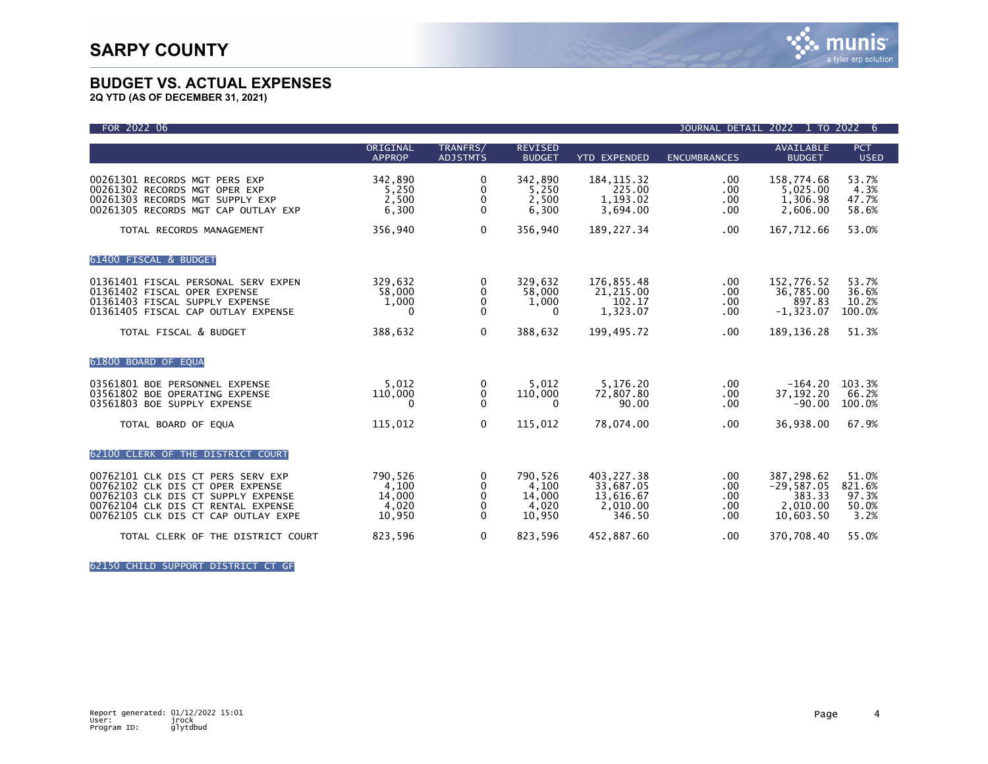

**2Q YTD (AS OF DECEMBER 31, 2021)**

| FOR 2022 06                                                                                                                                                                              |                                               |                                         |                                               |                                                            | JOURNAL DETAIL 2022             |                                                               | то 2022 6                                 |
|------------------------------------------------------------------------------------------------------------------------------------------------------------------------------------------|-----------------------------------------------|-----------------------------------------|-----------------------------------------------|------------------------------------------------------------|---------------------------------|---------------------------------------------------------------|-------------------------------------------|
|                                                                                                                                                                                          | ORIGINAL<br><b>APPROP</b>                     | TRANFRS/<br><b>ADJSTMTS</b>             | <b>REVISED</b><br><b>BUDGET</b>               | <b>YTD EXPENDED</b>                                        | <b>ENCUMBRANCES</b>             | <b>AVAILABLE</b><br><b>BUDGET</b>                             | PCT<br><b>USED</b>                        |
| 00261301 RECORDS MGT PERS EXP<br>00261302 RECORDS MGT OPER EXP<br>00261303 RECORDS MGT SUPPLY EXP<br>00261305 RECORDS MGT CAP OUTLAY EXP                                                 | 342,890<br>5,250<br>2,500<br>6,300            | 0<br>0<br>0<br>$\mathbf{0}$             | 342,890<br>5.250<br>2,500<br>6,300            | 184, 115.32<br>225.00<br>1,193.02<br>3,694.00              | .00<br>.00<br>.00<br>.00        | 158,774.68<br>5,025.00<br>1,306.98<br>2,606.00                | 53.7%<br>4.3%<br>47.7%<br>58.6%           |
| TOTAL RECORDS MANAGEMENT                                                                                                                                                                 | 356,940                                       | $\mathbf 0$                             | 356.940                                       | 189, 227.34                                                | .00                             | 167,712.66                                                    | 53.0%                                     |
| 61400 FISCAL & BUDGET                                                                                                                                                                    |                                               |                                         |                                               |                                                            |                                 |                                                               |                                           |
| 01361401 FISCAL PERSONAL SERV EXPEN<br>01361402 FISCAL OPER EXPENSE<br>01361403 FISCAL SUPPLY EXPENSE<br>01361405 FISCAL CAP OUTLAY EXPENSE                                              | 329,632<br>58,000<br>1,000<br>$\mathbf{0}$    | 0<br>0<br>0<br>$\Omega$                 | 329,632<br>58,000<br>1,000<br>0               | 176,855.48<br>21,215.00<br>102.17<br>1,323.07              | .00<br>.00<br>.00<br>.00        | 152,776.52<br>36,785.00<br>897.83<br>$-1, 323.07$             | 53.7%<br>36.6%<br>10.2%<br>100.0%         |
| TOTAL FISCAL & BUDGET                                                                                                                                                                    | 388,632                                       | $\mathbf 0$                             | 388,632                                       | 199,495.72                                                 | .00                             | 189, 136. 28                                                  | 51.3%                                     |
| 61800 BOARD OF EQUA                                                                                                                                                                      |                                               |                                         |                                               |                                                            |                                 |                                                               |                                           |
| 03561801 BOE PERSONNEL EXPENSE<br>03561802 BOE OPERATING EXPENSE<br>03561803 BOE SUPPLY EXPENSE                                                                                          | 5,012<br>110,000<br>0                         | 0<br>0<br>$\Omega$                      | 5,012<br>110,000<br>0                         | 5,176.20<br>72,807.80<br>90.00                             | .00<br>.00<br>.00               | $-164.20$<br>37, 192. 20<br>$-90.00$                          | 103.3%<br>66.2%<br>100.0%                 |
| TOTAL BOARD OF EQUA                                                                                                                                                                      | 115,012                                       | $\mathbf{0}$                            | 115,012                                       | 78,074.00                                                  | .00                             | 36,938.00                                                     | 67.9%                                     |
| 62100 CLERK OF THE DISTRICT COURT                                                                                                                                                        |                                               |                                         |                                               |                                                            |                                 |                                                               |                                           |
| 00762101 CLK DIS CT PERS SERV EXP<br>00762102 CLK DIS CT OPER EXPENSE<br>00762103 CLK DIS CT SUPPLY EXPENSE<br>00762104 CLK DIS CT RENTAL EXPENSE<br>00762105 CLK DIS CT CAP OUTLAY EXPE | 790,526<br>4,100<br>14,000<br>4,020<br>10,950 | 0<br>$\mathbf{0}$<br>0<br>0<br>$\Omega$ | 790,526<br>4,100<br>14,000<br>4,020<br>10,950 | 403,227.38<br>33,687.05<br>13,616.67<br>2,010.00<br>346.50 | .00<br>.00<br>.00<br>.00<br>.00 | 387,298.62<br>$-29,587.05$<br>383.33<br>2,010.00<br>10,603.50 | 51.0%<br>821.6%<br>97.3%<br>50.0%<br>3.2% |
| TOTAL CLERK OF THE DISTRICT COURT                                                                                                                                                        | 823,596                                       | $\mathbf 0$                             | 823,596                                       | 452,887.60                                                 | .00                             | 370,708.40                                                    | 55.0%                                     |

62150 CHILD SUPPORT DISTRICT CT GF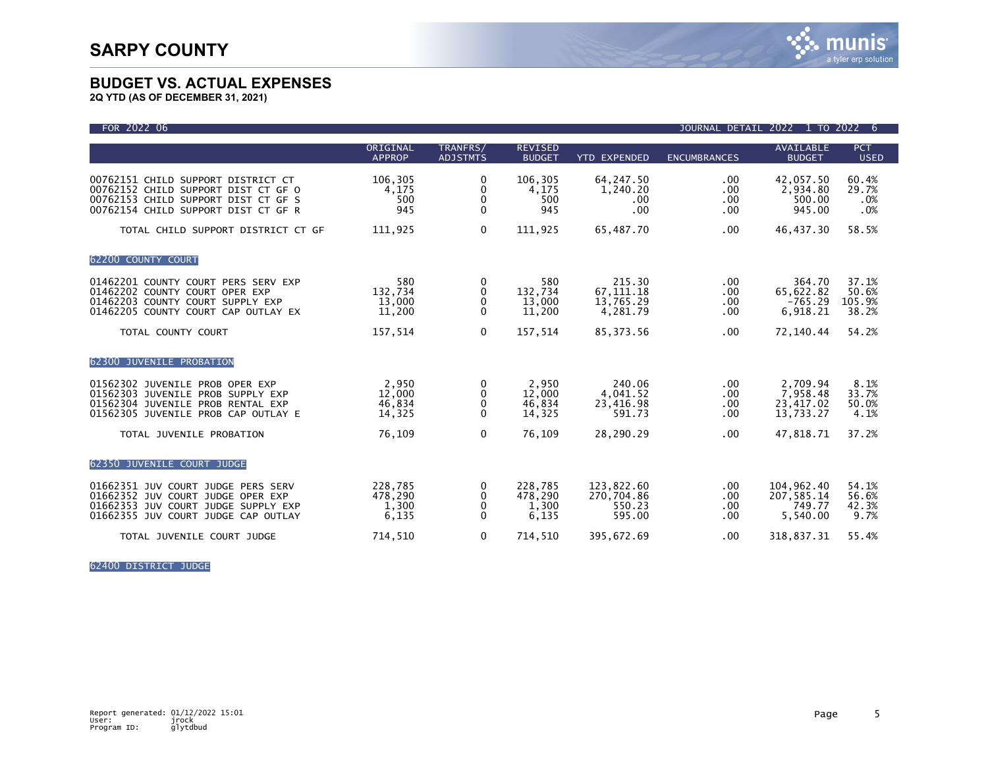

**2Q YTD (AS OF DECEMBER 31, 2021)**

| FOR 2022 06                                                                                                                                             |                                      |                                              |                                      |                                                | <b>JOURNAL DETAIL</b>                    | 2022 1                                         | TO 2022<br>6                      |
|---------------------------------------------------------------------------------------------------------------------------------------------------------|--------------------------------------|----------------------------------------------|--------------------------------------|------------------------------------------------|------------------------------------------|------------------------------------------------|-----------------------------------|
|                                                                                                                                                         | ORIGINAL<br><b>APPROP</b>            | TRANFRS/<br><b>ADJSTMTS</b>                  | <b>REVISED</b><br><b>BUDGET</b>      | <b>YTD EXPENDED</b>                            | <b>ENCUMBRANCES</b>                      | AVAILABLE<br><b>BUDGET</b>                     | <b>PCT</b><br><b>USED</b>         |
| 00762151 CHILD SUPPORT DISTRICT CT<br>00762152 CHILD SUPPORT DIST CT GF O<br>00762153 CHILD SUPPORT DIST CT GF S<br>00762154 CHILD SUPPORT DIST CT GF R | 106,305<br>4,175<br>500<br>945       | 0<br>0<br>0<br>$\mathbf{0}$                  | 106,305<br>4,175<br>500<br>945       | 64, 247.50<br>1,240.20<br>.00<br>.00           | .00.<br>.00<br>.00.<br>$.00 \,$          | 42,057.50<br>2,934.80<br>500.00<br>945.00      | 60.4%<br>29.7%<br>.0%<br>.0%      |
| TOTAL CHILD SUPPORT DISTRICT CT GF                                                                                                                      | 111,925                              | $\mathbf 0$                                  | 111,925                              | 65,487.70                                      | $.00 \,$                                 | 46,437.30                                      | 58.5%                             |
| 62200 COUNTY COURT                                                                                                                                      |                                      |                                              |                                      |                                                |                                          |                                                |                                   |
| 01462201 COUNTY COURT PERS SERV EXP<br>01462202 COUNTY COURT OPER EXP<br>01462203 COUNTY COURT SUPPLY EXP<br>01462205 COUNTY COURT CAP OUTLAY EX        | 580<br>132,734<br>13,000<br>11,200   | 0<br>0<br>0<br>0                             | 580<br>132,734<br>13,000<br>11,200   | 215.30<br>67, 111. 18<br>13,765.29<br>4,281.79 | .00.<br>$.00 \,$<br>$.00 \,$<br>$.00 \,$ | 364.70<br>65,622.82<br>$-765.29$<br>6,918.21   | 37.1%<br>50.6%<br>105.9%<br>38.2% |
| TOTAL COUNTY COURT                                                                                                                                      | 157,514                              | $\mathbf 0$                                  | 157,514                              | 85, 373.56                                     | .00                                      | 72,140.44                                      | 54.2%                             |
| 62300 JUVENILE PROBATION                                                                                                                                |                                      |                                              |                                      |                                                |                                          |                                                |                                   |
| 01562302 JUVENILE PROB OPER EXP<br>01562303 JUVENILE PROB SUPPLY EXP<br>01562304 JUVENILE PROB RENTAL EXP<br>01562305 JUVENILE PROB CAP OUTLAY E        | 2,950<br>12,000<br>46,834<br>14,325  | 0<br>$\mathbf{0}$<br>0<br>0                  | 2,950<br>12,000<br>46,834<br>14,325  | 240.06<br>4,041.52<br>23,416.98<br>591.73      | .00.<br>.00.<br>$.00 \,$<br>.00.         | 2.709.94<br>7,958.48<br>23,417.02<br>13,733.27 | 8.1%<br>33.7%<br>50.0%<br>4.1%    |
| TOTAL JUVENILE PROBATION                                                                                                                                | 76,109                               | $\mathbf{0}$                                 | 76,109                               | 28,290.29                                      | .00.                                     | 47,818.71                                      | 37.2%                             |
| 62350 JUVENILE COURT JUDGE                                                                                                                              |                                      |                                              |                                      |                                                |                                          |                                                |                                   |
| 01662351 JUV COURT JUDGE PERS SERV<br>01662352 JUV COURT JUDGE OPER EXP<br>01662353 JUV COURT JUDGE SUPPLY EXP<br>01662355 JUV COURT JUDGE CAP OUTLAY   | 228,785<br>478,290<br>1,300<br>6,135 | 0<br>$\mathbf{0}$<br>$\mathbf 0$<br>$\Omega$ | 228,785<br>478,290<br>1,300<br>6,135 | 123,822.60<br>270,704.86<br>550.23<br>595.00   | .00.<br>.00.<br>.00<br>.00               | 104,962.40<br>207,585.14<br>749.77<br>5,540.00 | 54.1%<br>56.6%<br>42.3%<br>9.7%   |
| TOTAL JUVENILE COURT JUDGE                                                                                                                              | 714,510                              | 0                                            | 714,510                              | 395,672.69                                     | .00.                                     | 318,837.31                                     | 55.4%                             |

62400 DISTRICT JUDGE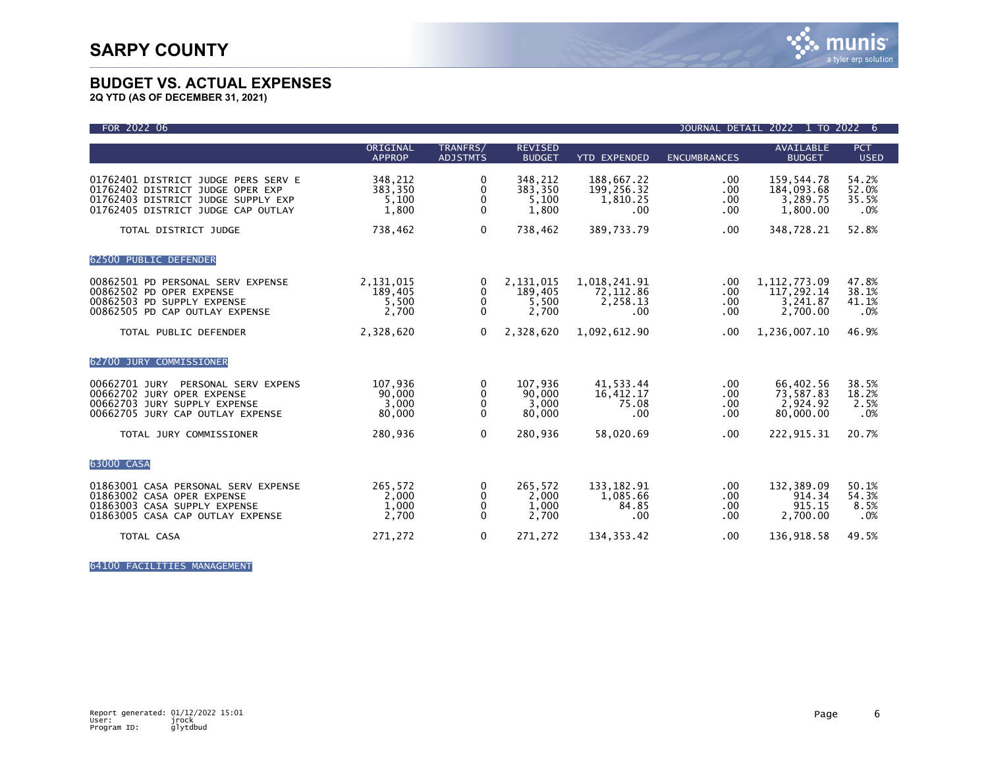**2Q YTD (AS OF DECEMBER 31, 2021)**

| FOR 2022 06                                                                                                                                         |                                        |                                    |                                        |                                              | <b>JOURNAL DETAIL</b>               | 2022 1 TO 2022                                       | 6                              |
|-----------------------------------------------------------------------------------------------------------------------------------------------------|----------------------------------------|------------------------------------|----------------------------------------|----------------------------------------------|-------------------------------------|------------------------------------------------------|--------------------------------|
|                                                                                                                                                     | ORIGINAL<br><b>APPROP</b>              | TRANFRS/<br><b>ADJSTMTS</b>        | <b>REVISED</b><br><b>BUDGET</b>        | <b>YTD EXPENDED</b>                          | <b>ENCUMBRANCES</b>                 | <b>AVAILABLE</b><br><b>BUDGET</b>                    | <b>PCT</b><br><b>USED</b>      |
| 01762401 DISTRICT JUDGE PERS SERV E<br>01762402 DISTRICT JUDGE OPER EXP<br>01762403 DISTRICT JUDGE SUPPLY EXP<br>01762405 DISTRICT JUDGE CAP OUTLAY | 348,212<br>383,350<br>5,100<br>1,800   | 0<br>0<br>0<br>0                   | 348,212<br>383,350<br>5,100<br>1,800   | 188,667.22<br>199,256.32<br>1,810.25<br>.00  | .00.<br>.00<br>$.00 \,$<br>$.00 \,$ | 159,544.78<br>184,093.68<br>3,289.75<br>1,800.00     | 54.2%<br>52.0%<br>35.5%<br>.0% |
| TOTAL DISTRICT JUDGE                                                                                                                                | 738,462                                | $\mathbf 0$                        | 738,462                                | 389,733.79                                   | .00                                 | 348,728.21                                           | 52.8%                          |
| 62500 PUBLIC DEFENDER                                                                                                                               |                                        |                                    |                                        |                                              |                                     |                                                      |                                |
| 00862501 PD PERSONAL SERV EXPENSE<br>00862502 PD OPER EXPENSE<br>00862503 PD SUPPLY EXPENSE<br>00862505 PD CAP OUTLAY EXPENSE                       | 2,131,015<br>189,405<br>5,500<br>2,700 | 0<br>$\Omega$<br>0<br>$\mathbf{0}$ | 2,131,015<br>189,405<br>5,500<br>2,700 | 1,018,241.91<br>72,112.86<br>2,258.13<br>.00 | .00<br>.00.<br>$.00 \,$<br>.00.     | 1, 112, 773.09<br>117,292.14<br>3,241.87<br>2,700.00 | 47.8%<br>38.1%<br>41.1%<br>.0% |
| TOTAL PUBLIC DEFENDER                                                                                                                               | 2,328,620                              | $\Omega$                           | 2,328,620                              | 1,092,612.90                                 | .00                                 | 1,236,007.10                                         | 46.9%                          |
| 62700 JURY COMMISSIONER                                                                                                                             |                                        |                                    |                                        |                                              |                                     |                                                      |                                |
| 00662701 JURY<br>PERSONAL SERV EXPENS<br>00662702 JURY OPER EXPENSE<br>00662703 JURY SUPPLY EXPENSE<br>00662705 JURY CAP OUTLAY EXPENSE             | 107,936<br>90,000<br>3,000<br>80,000   | 0<br>$\mathbf{0}$<br>0<br>0        | 107,936<br>90,000<br>3,000<br>80,000   | 41,533.44<br>16,412.17<br>75.08<br>.00       | $.00 \,$<br>.00.<br>.00<br>.00.     | 66,402.56<br>73,587.83<br>2,924.92<br>80,000.00      | 38.5%<br>18.2%<br>2.5%<br>.0%  |
| TOTAL JURY COMMISSIONER                                                                                                                             | 280,936                                | $\mathbf{0}$                       | 280,936                                | 58,020.69                                    | .00.                                | 222,915.31                                           | 20.7%                          |
| 63000 CASA                                                                                                                                          |                                        |                                    |                                        |                                              |                                     |                                                      |                                |
| 01863001 CASA PERSONAL SERV EXPENSE<br>01863002 CASA OPER EXPENSE<br>01863003 CASA SUPPLY EXPENSE<br>01863005 CASA CAP OUTLAY EXPENSE               | 265.572<br>2,000<br>1,000<br>2,700     | 0<br>0<br>0<br>0                   | 265.572<br>2,000<br>1,000<br>2,700     | 133,182.91<br>1,085.66<br>84.85<br>.00       | .00<br>.00.<br>.00<br>.00           | 132,389.09<br>914.34<br>915.15<br>2,700.00           | 50.1%<br>54.3%<br>8.5%<br>.0%  |
| TOTAL CASA                                                                                                                                          | 271,272                                | 0                                  | 271,272                                | 134, 353.42                                  | .00.                                | 136,918.58                                           | 49.5%                          |

64100 FACILITIES MANAGEMENT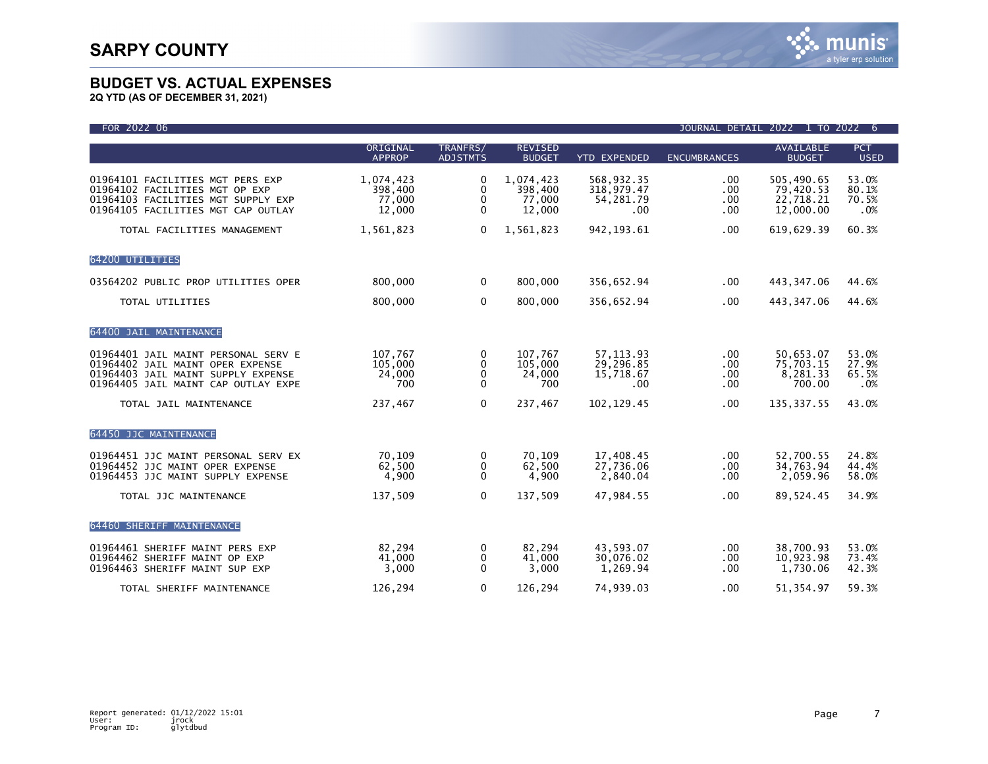| FOR 2022 06                                                                                                                                          |                                          |                                                 |                                          |                                              |                                         | JOURNAL DETAIL 2022 1 TO 2022 6                   |                                |
|------------------------------------------------------------------------------------------------------------------------------------------------------|------------------------------------------|-------------------------------------------------|------------------------------------------|----------------------------------------------|-----------------------------------------|---------------------------------------------------|--------------------------------|
|                                                                                                                                                      | ORIGINAL<br><b>APPROP</b>                | TRANFRS/<br><b>ADJSTMTS</b>                     | <b>REVISED</b><br><b>BUDGET</b>          | <b>YTD EXPENDED</b>                          | <b>ENCUMBRANCES</b>                     | <b>AVAILABLE</b><br><b>BUDGET</b>                 | PCT<br><b>USED</b>             |
| 01964101 FACILITIES MGT PERS EXP<br>01964102 FACILITIES MGT OP EXP<br>01964103 FACILITIES MGT SUPPLY EXP<br>01964105 FACILITIES MGT CAP OUTLAY       | 1,074,423<br>398,400<br>77,000<br>12,000 | 0<br>$\mathbf 0$<br>$\mathbf 0$<br>$\mathbf{0}$ | 1,074,423<br>398,400<br>77,000<br>12,000 | 568,932.35<br>318,979.47<br>54,281.79<br>.00 | .00<br>.00<br>.00<br>.00.               | 505,490.65<br>79,420.53<br>22,718.21<br>12,000.00 | 53.0%<br>80.1%<br>70.5%<br>.0% |
| TOTAL FACILITIES MANAGEMENT                                                                                                                          | 1,561,823                                | $\mathbf{0}$                                    | 1,561,823                                | 942, 193.61                                  | .00                                     | 619,629.39                                        | 60.3%                          |
| 64200 UTILITIES                                                                                                                                      |                                          |                                                 |                                          |                                              |                                         |                                                   |                                |
| 03564202 PUBLIC PROP UTILITIES OPER                                                                                                                  | 800,000                                  | $\Omega$                                        | 800,000                                  | 356,652.94                                   | .00                                     | 443,347.06                                        | 44.6%                          |
| TOTAL UTILITIES                                                                                                                                      | 800,000                                  | $\mathbf 0$                                     | 800,000                                  | 356,652.94                                   | .00                                     | 443,347.06                                        | 44.6%                          |
| 64400 JAIL MAINTENANCE                                                                                                                               |                                          |                                                 |                                          |                                              |                                         |                                                   |                                |
| 01964401 JAIL MAINT PERSONAL SERV E<br>01964402 JAIL MAINT OPER EXPENSE<br>01964403 JAIL MAINT SUPPLY EXPENSE<br>01964405 JAIL MAINT CAP OUTLAY EXPE | 107,767<br>105,000<br>24,000<br>700      | 0<br>$\mathbf{0}$<br>0<br>$\Omega$              | 107.767<br>105,000<br>24,000<br>700      | 57.113.93<br>29,296.85<br>15,718.67<br>.00   | .00 <sub>1</sub><br>.00.<br>.00.<br>.00 | 50,653.07<br>75,703.15<br>8,281.33<br>700.00      | 53.0%<br>27.9%<br>65.5%<br>.0% |
| TOTAL JAIL MAINTENANCE                                                                                                                               | 237,467                                  | $\Omega$                                        | 237,467                                  | 102, 129.45                                  | .00.                                    | 135, 337.55                                       | 43.0%                          |
| 64450 JJC MAINTENANCE                                                                                                                                |                                          |                                                 |                                          |                                              |                                         |                                                   |                                |
| 01964451 JJC MAINT PERSONAL SERV EX<br>01964452 JJC MAINT OPER EXPENSE<br>01964453 JJC MAINT SUPPLY EXPENSE                                          | 70.109<br>62,500<br>4,900                | 0<br>0<br>$\mathbf{0}$                          | 70,109<br>62,500<br>4,900                | 17,408.45<br>27,736.06<br>2,840.04           | $.00 \,$<br>.00<br>.00.                 | 52,700.55<br>34,763.94<br>2,059.96                | 24.8%<br>44.4%<br>58.0%        |
| TOTAL JJC MAINTENANCE                                                                                                                                | 137,509                                  | $\mathbf{0}$                                    | 137,509                                  | 47,984.55                                    | .00.                                    | 89,524.45                                         | 34.9%                          |
| 64460 SHERIFF MAINTENANCE                                                                                                                            |                                          |                                                 |                                          |                                              |                                         |                                                   |                                |
| 01964461 SHERIFF MAINT PERS EXP<br>01964462 SHERIFF MAINT OP EXP<br>01964463 SHERIFF MAINT SUP EXP                                                   | 82,294<br>41,000<br>3,000                | 0<br>$\mathbf{0}$<br>$\mathbf{0}$               | 82,294<br>41,000<br>3,000                | 43.593.07<br>30,076.02<br>1,269.94           | .00.<br>.00.<br>.00                     | 38,700.93<br>10,923.98<br>1,730.06                | 53.0%<br>73.4%<br>42.3%        |
| TOTAL SHERIFF MAINTENANCE                                                                                                                            | 126.294                                  | $\mathbf 0$                                     | 126,294                                  | 74.939.03                                    | .00                                     | 51.354.97                                         | 59.3%                          |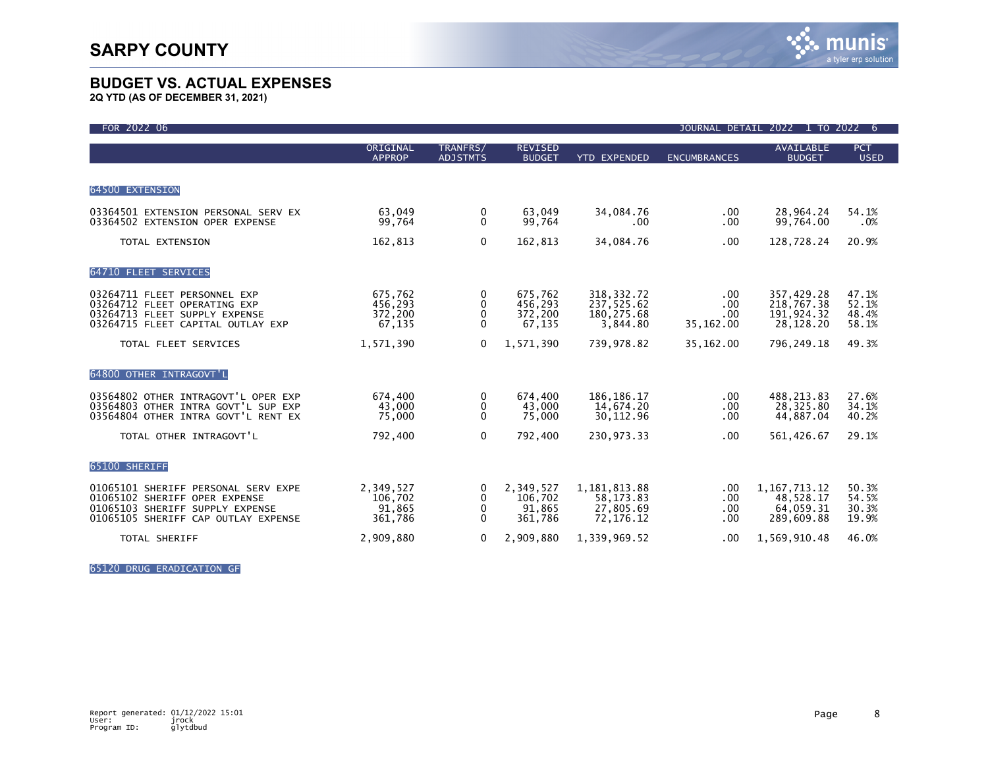**2Q YTD (AS OF DECEMBER 31, 2021)**

| FOR 2022 06                                                                                                                                    |                                           |                             |                                           |                                                       | <b>JOURNAL DETAIL</b>          | 2022<br>1 TO 2022                                       | -6                               |
|------------------------------------------------------------------------------------------------------------------------------------------------|-------------------------------------------|-----------------------------|-------------------------------------------|-------------------------------------------------------|--------------------------------|---------------------------------------------------------|----------------------------------|
|                                                                                                                                                | ORIGINAL<br><b>APPROP</b>                 | TRANFRS/<br><b>ADJSTMTS</b> | <b>REVISED</b><br><b>BUDGET</b>           | <b>YTD EXPENDED</b>                                   | <b>ENCUMBRANCES</b>            | <b>AVAILABLE</b><br><b>BUDGET</b>                       | <b>PCT</b><br><b>USED</b>        |
| 64500 EXTENSION                                                                                                                                |                                           |                             |                                           |                                                       |                                |                                                         |                                  |
| 03364501 EXTENSION PERSONAL SERV EX<br>03364502 EXTENSION OPER EXPENSE                                                                         | 63.049<br>99,764                          | 0<br>$\Omega$               | 63.049<br>99,764                          | 34,084.76<br>.00                                      | $.00 \,$<br>$.00 \,$           | 28,964.24<br>99,764.00                                  | 54.1%<br>.0%                     |
| TOTAL EXTENSION                                                                                                                                | 162,813                                   | $\Omega$                    | 162,813                                   | 34,084.76                                             | .00.                           | 128,728.24                                              | 20.9%                            |
| 64710 FLEET SERVICES                                                                                                                           |                                           |                             |                                           |                                                       |                                |                                                         |                                  |
| 03264711 FLEET PERSONNEL EXP<br>03264712 FLEET OPERATING EXP<br>03264713 FLEET SUPPLY EXPENSE<br>03264715 FLEET CAPITAL OUTLAY EXP             | 675,762<br>456,293<br>372,200<br>67,135   | 0<br>0<br>0<br>$\Omega$     | 675,762<br>456,293<br>372,200<br>67,135   | 318, 332. 72<br>237,525.62<br>180, 275.68<br>3,844.80 | .00<br>.00<br>.00<br>35,162.00 | 357,429.28<br>218,767.38<br>191,924.32<br>28,128.20     | 47.1%<br>52.1%<br>48.4%<br>58.1% |
| TOTAL FLEET SERVICES                                                                                                                           | 1,571,390                                 | $\mathbf{0}$                | 1,571,390                                 | 739,978.82                                            | 35,162.00                      | 796,249.18                                              | 49.3%                            |
| 64800 OTHER INTRAGOVT'L                                                                                                                        |                                           |                             |                                           |                                                       |                                |                                                         |                                  |
| 03564802 OTHER INTRAGOVT'L OPER EXP<br>03564803 OTHER INTRA GOVT'L SUP EXP<br>03564804 OTHER INTRA GOVT'L RENT EX                              | 674,400<br>43,000<br>75,000               | 0<br>0<br>$\Omega$          | 674,400<br>43,000<br>75,000               | 186, 186. 17<br>14,674.20<br>30, 112.96               | .00<br>.00<br>.00              | 488, 213.83<br>28,325.80<br>44,887.04                   | 27.6%<br>34.1%<br>40.2%          |
| TOTAL OTHER INTRAGOVT'L                                                                                                                        | 792,400                                   | $\mathbf{0}$                | 792.400                                   | 230.973.33                                            | .00                            | 561,426.67                                              | 29.1%                            |
| 65100 SHERIFF                                                                                                                                  |                                           |                             |                                           |                                                       |                                |                                                         |                                  |
| 01065101 SHERIFF PERSONAL SERV EXPE<br>01065102 SHERIFF OPER EXPENSE<br>01065103 SHERIFF SUPPLY EXPENSE<br>01065105 SHERIFF CAP OUTLAY EXPENSE | 2,349,527<br>106,702<br>91,865<br>361,786 | 0<br>0<br>0<br>$\Omega$     | 2,349,527<br>106,702<br>91,865<br>361,786 | 1,181,813.88<br>58, 173.83<br>27,805.69<br>72,176.12  | .00<br>.00<br>.00<br>.00       | 1, 167, 713. 12<br>48,528.17<br>64,059.31<br>289,609.88 | 50.3%<br>54.5%<br>30.3%<br>19.9% |
| <b>TOTAL SHERIFF</b>                                                                                                                           | 2,909,880                                 | 0                           | 2,909,880                                 | 1,339,969.52                                          | .00                            | 1,569,910.48                                            | 46.0%                            |

65120 DRUG ERADICATION GF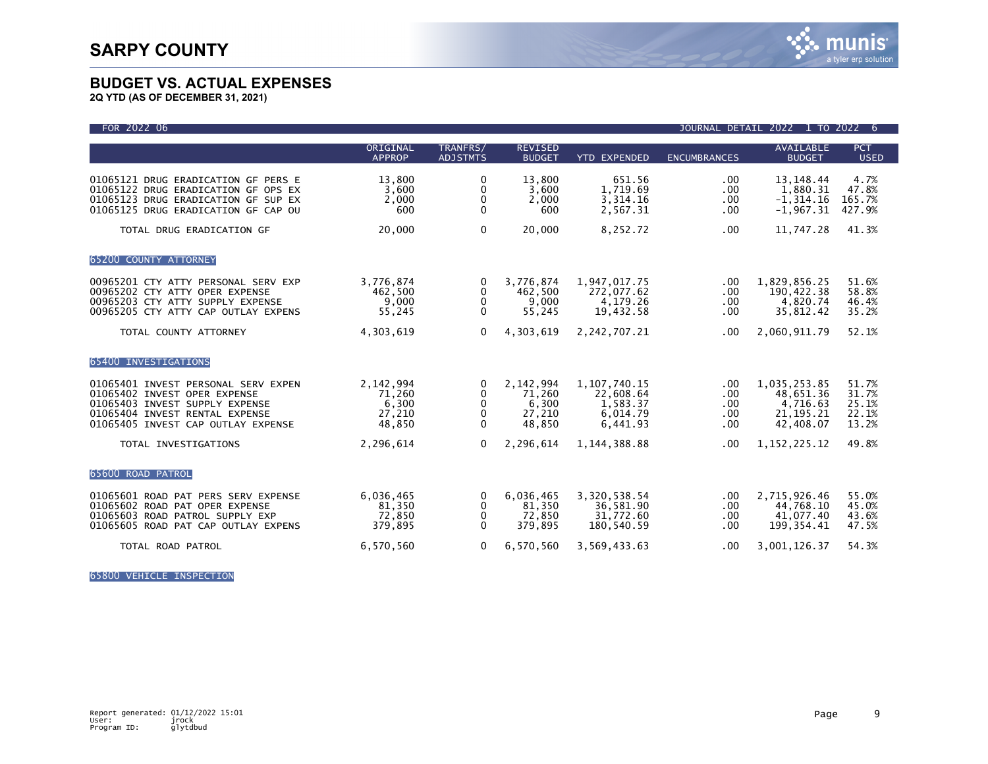

**2Q YTD (AS OF DECEMBER 31, 2021)**

| FOR 2022 06                                                                                                                                                                   |                                                  |                                                      |                                                  |                                                                  | <b>JOURNAL DETAIL</b>           | 2022<br>1 TO 2022                                                 | 6                                         |
|-------------------------------------------------------------------------------------------------------------------------------------------------------------------------------|--------------------------------------------------|------------------------------------------------------|--------------------------------------------------|------------------------------------------------------------------|---------------------------------|-------------------------------------------------------------------|-------------------------------------------|
|                                                                                                                                                                               | ORIGINAL<br><b>APPROP</b>                        | TRANFRS/<br><b>ADJSTMTS</b>                          | <b>REVISED</b><br><b>BUDGET</b>                  | <b>YTD EXPENDED</b>                                              | <b>ENCUMBRANCES</b>             | AVAILABLE<br><b>BUDGET</b>                                        | <b>PCT</b><br><b>USED</b>                 |
| 01065121 DRUG ERADICATION GF PERS E<br>01065122 DRUG ERADICATION GF OPS EX<br>01065123 DRUG ERADICATION GF SUP EX<br>01065125 DRUG ERADICATION GF CAP OU                      | 13,800<br>3,600<br>2,000<br>600                  | 0<br>0<br>$\mathbf{0}$<br>$\Omega$                   | 13,800<br>3,600<br>2,000<br>600                  | 651.56<br>1,719.69<br>3,314.16<br>2,567.31                       | .00<br>.00<br>.00<br>.00        | 13, 148. 44<br>1,880.31<br>$-1, 314.16$<br>$-1,967.31$            | 4.7%<br>47.8%<br>165.7%<br>427.9%         |
| TOTAL DRUG ERADICATION GF                                                                                                                                                     | 20,000                                           | 0                                                    | 20,000                                           | 8,252.72                                                         | .00                             | 11,747.28                                                         | 41.3%                                     |
| 65200 COUNTY ATTORNEY                                                                                                                                                         |                                                  |                                                      |                                                  |                                                                  |                                 |                                                                   |                                           |
| 00965201 CTY ATTY PERSONAL SERV EXP<br>00965202 CTY ATTY OPER EXPENSE<br>00965203 CTY ATTY SUPPLY EXPENSE<br>00965205 CTY ATTY CAP OUTLAY EXPENS                              | 3,776,874<br>462,500<br>9,000<br>55,245          | $\Omega$<br>0<br>0<br>$\mathbf{0}$                   | 3,776,874<br>462,500<br>9,000<br>55,245          | 1,947,017.75<br>272,077.62<br>4,179.26<br>19,432.58              | .00.<br>.00<br>.00<br>.00.      | 1,829,856.25<br>190,422.38<br>4,820.74<br>35,812.42               | 51.6%<br>58.8%<br>46.4%<br>35.2%          |
| TOTAL COUNTY ATTORNEY                                                                                                                                                         | 4,303,619                                        | $\Omega$                                             | 4,303,619                                        | 2,242,707.21                                                     | .00.                            | 2,060,911.79                                                      | 52.1%                                     |
| 65400 INVESTIGATIONS                                                                                                                                                          |                                                  |                                                      |                                                  |                                                                  |                                 |                                                                   |                                           |
| 01065401 INVEST PERSONAL SERV EXPEN<br>01065402 INVEST OPER EXPENSE<br>01065403 INVEST SUPPLY EXPENSE<br>01065404 INVEST RENTAL EXPENSE<br>01065405 INVEST CAP OUTLAY EXPENSE | 2,142,994<br>71,260<br>6,300<br>27,210<br>48,850 | 0<br>$\mathbf 0$<br>0<br>$\mathbf 0$<br>$\mathbf{0}$ | 2,142,994<br>71,260<br>6,300<br>27,210<br>48,850 | 1, 107, 740. 15<br>22,608.64<br>1,583.37<br>6,014.79<br>6.441.93 | .00<br>.00<br>.00<br>.00<br>.00 | 1,035,253.85<br>48,651.36<br>4,716.63<br>21, 195. 21<br>42,408.07 | 51.7%<br>31.7%<br>25.1%<br>22.1%<br>13.2% |
| TOTAL INVESTIGATIONS                                                                                                                                                          | 2,296,614                                        | $\Omega$                                             | 2,296,614                                        | 1, 144, 388.88                                                   | .00                             | 1, 152, 225.12                                                    | 49.8%                                     |
| 65600 ROAD PATROL                                                                                                                                                             |                                                  |                                                      |                                                  |                                                                  |                                 |                                                                   |                                           |
| 01065601 ROAD PAT PERS SERV EXPENSE<br>01065602 ROAD PAT OPER EXPENSE<br>01065603 ROAD PATROL SUPPLY EXP<br>01065605 ROAD PAT CAP OUTLAY EXPENS                               | 6,036,465<br>81,350<br>72,850<br>379,895         | 0<br>0<br>0<br>$\Omega$                              | 6,036,465<br>81,350<br>72,850<br>379,895         | 3,320,538.54<br>36,581.90<br>31,772.60<br>180,540.59             | .00<br>.00<br>$.00 \,$<br>.00   | 2,715,926.46<br>44,768.10<br>41,077.40<br>199, 354.41             | 55.0%<br>45.0%<br>43.6%<br>47.5%          |
| TOTAL ROAD PATROL                                                                                                                                                             | 6,570,560                                        | 0                                                    | 6,570,560                                        | 3,569,433.63                                                     | .00                             | 3,001,126.37                                                      | 54.3%                                     |

65800 VEHICLE INSPECTION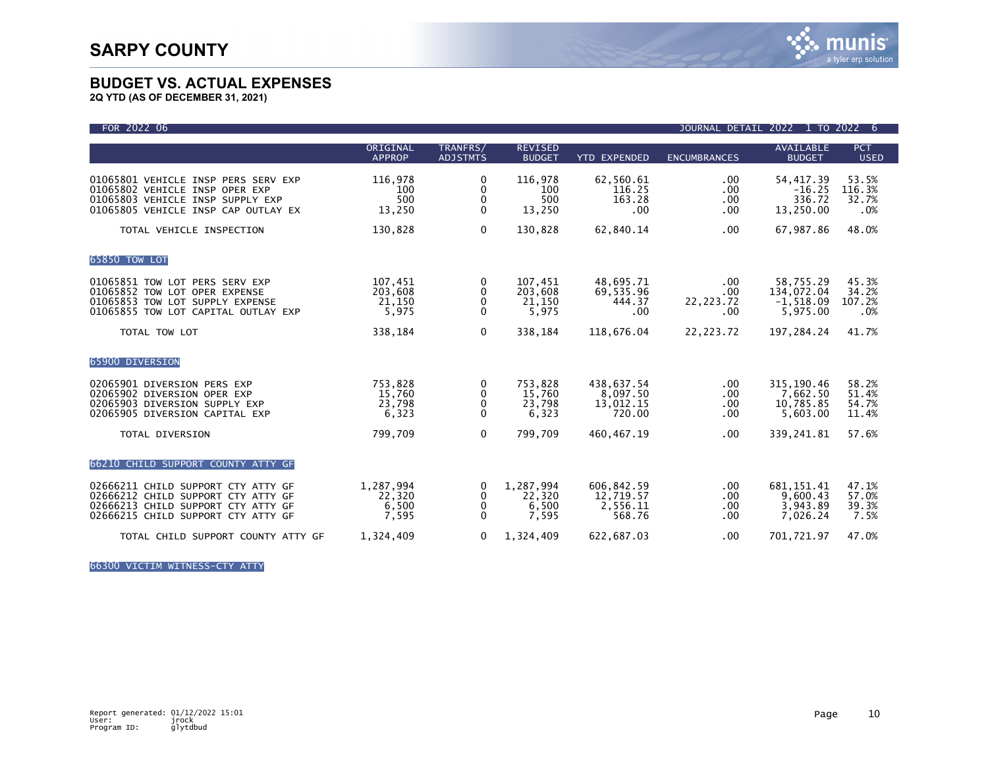

**2Q YTD (AS OF DECEMBER 31, 2021)**

| FOR 2022 06                                                                                                                                          |                                       |                             |                                       |                                               | <b>JOURNAL DETAIL</b>             | 2022<br>1 TO 2022                                  | 6                                |
|------------------------------------------------------------------------------------------------------------------------------------------------------|---------------------------------------|-----------------------------|---------------------------------------|-----------------------------------------------|-----------------------------------|----------------------------------------------------|----------------------------------|
|                                                                                                                                                      | ORIGINAL<br><b>APPROP</b>             | TRANFRS/<br><b>ADJSTMTS</b> | <b>REVISED</b><br><b>BUDGET</b>       | <b>YTD EXPENDED</b>                           | <b>ENCUMBRANCES</b>               | <b>AVAILABLE</b><br><b>BUDGET</b>                  | <b>PCT</b><br><b>USED</b>        |
| 01065801 VEHICLE INSP PERS SERV EXP<br>01065802 VEHICLE INSP OPER EXP<br>01065803 VEHICLE INSP SUPPLY EXP<br>01065805 VEHICLE INSP CAP OUTLAY EX     | 116,978<br>100<br>500<br>13,250       | 0<br>0<br>0<br>$\mathbf{0}$ | 116,978<br>100<br>500<br>13,250       | 62,560.61<br>116.25<br>163.28<br>.00          | .00<br>.00.<br>.00.<br>.00        | 54, 417.39<br>$-16.25$<br>336.72<br>13,250.00      | 53.5%<br>116.3%<br>32.7%<br>.0%  |
| TOTAL VEHICLE INSPECTION                                                                                                                             | 130,828                               | 0                           | 130,828                               | 62,840.14                                     | .00                               | 67,987.86                                          | 48.0%                            |
| 65850 TOW LOT                                                                                                                                        |                                       |                             |                                       |                                               |                                   |                                                    |                                  |
| 01065851 TOW LOT PERS SERV EXP<br>01065852 TOW LOT OPER EXPENSE<br>01065853 TOW LOT SUPPLY EXPENSE<br>01065855 TOW LOT CAPITAL OUTLAY EXP            | 107,451<br>203,608<br>21,150<br>5,975 | 0<br>0<br>0<br>$\mathbf{0}$ | 107,451<br>203,608<br>21,150<br>5,975 | 48,695.71<br>69,535.96<br>444.37<br>.00       | .00<br>.00.<br>22, 223. 72<br>.00 | 58,755.29<br>134,072.04<br>$-1,518.09$<br>5,975.00 | 45.3%<br>34.2%<br>107.2%<br>.0%  |
| TOTAL TOW LOT                                                                                                                                        | 338,184                               | 0                           | 338,184                               | 118,676.04                                    | 22, 223. 72                       | 197,284.24                                         | 41.7%                            |
| 65900 DIVERSION                                                                                                                                      |                                       |                             |                                       |                                               |                                   |                                                    |                                  |
| 02065901 DIVERSION PERS EXP<br>02065902 DIVERSION OPER EXP<br>02065903 DIVERSION SUPPLY EXP<br>02065905 DIVERSION CAPITAL EXP                        | 753,828<br>15,760<br>23,798<br>6,323  | 0<br>0<br>0<br>$\mathbf{0}$ | 753,828<br>15,760<br>23,798<br>6,323  | 438,637.54<br>8,097.50<br>13,012.15<br>720.00 | $.00 \,$<br>.00.<br>.00<br>.00    | 315, 190.46<br>7,662.50<br>10,785.85<br>5,603.00   | 58.2%<br>51.4%<br>54.7%<br>11.4% |
| TOTAL DIVERSION                                                                                                                                      | 799,709                               | $\Omega$                    | 799,709                               | 460, 467. 19                                  | .00                               | 339,241.81                                         | 57.6%                            |
| 66210 CHILD SUPPORT COUNTY ATTY GF                                                                                                                   |                                       |                             |                                       |                                               |                                   |                                                    |                                  |
| 02666211 CHILD SUPPORT CTY ATTY GF<br>02666212 CHILD SUPPORT CTY ATTY GF<br>02666213 CHILD SUPPORT CTY ATTY GF<br>02666215 CHILD SUPPORT CTY ATTY GF | 1,287,994<br>22,320<br>6,500<br>7,595 | 0<br>0<br>0<br>$\Omega$     | 1,287,994<br>22,320<br>6,500<br>7,595 | 606,842.59<br>12,719.57<br>2,556.11<br>568.76 | .00<br>.00<br>.00<br>.00          | 681, 151.41<br>9,600.43<br>3,943.89<br>7,026.24    | 47.1%<br>57.0%<br>39.3%<br>7.5%  |
| TOTAL CHILD SUPPORT COUNTY ATTY GF                                                                                                                   | 1,324,409                             | $\Omega$                    | 1,324,409                             | 622,687.03                                    | .00                               | 701,721.97                                         | 47.0%                            |

66300 VICTIM WITNESS-CTY ATTY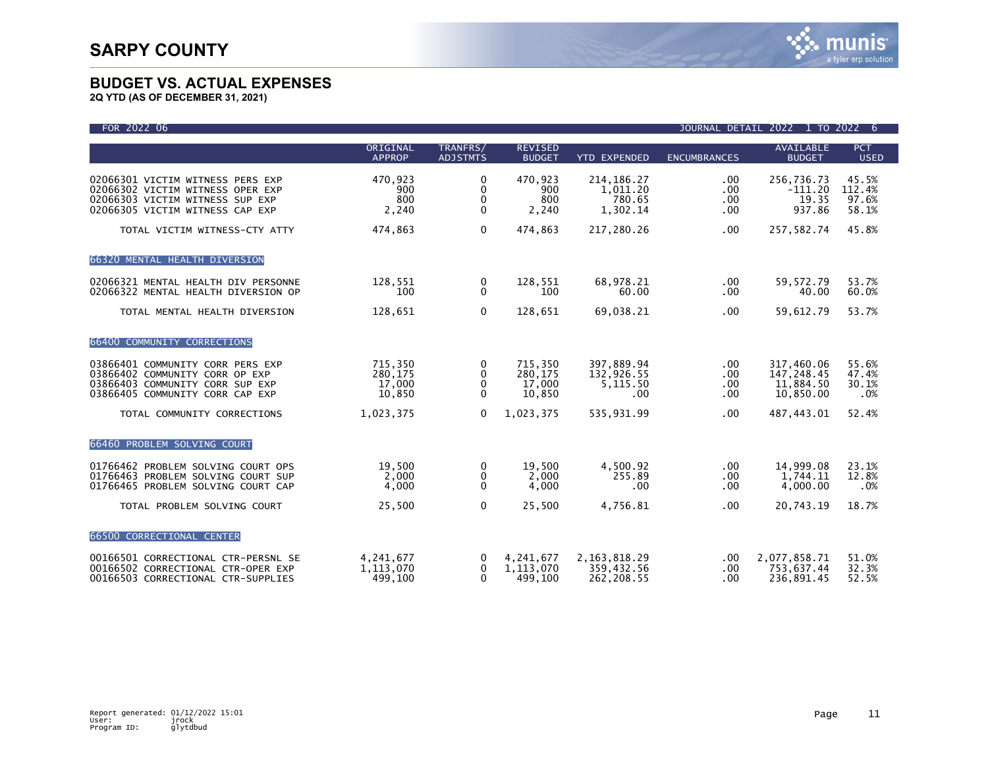| FOR 2022 06                                                                                                                                |                                        |                                       |                                        |                                                |                                              | JOURNAL DETAIL 2022 1 TO 2022 6                    |                                   |
|--------------------------------------------------------------------------------------------------------------------------------------------|----------------------------------------|---------------------------------------|----------------------------------------|------------------------------------------------|----------------------------------------------|----------------------------------------------------|-----------------------------------|
|                                                                                                                                            | ORIGINAL<br><b>APPROP</b>              | TRANFRS/<br><b>ADJSTMTS</b>           | <b>REVISED</b><br><b>BUDGET</b>        | <b>YTD EXPENDED</b>                            | <b>ENCUMBRANCES</b>                          | <b>AVAILABLE</b><br><b>BUDGET</b>                  | <b>PCT</b><br><b>USED</b>         |
| 02066301 VICTIM WITNESS PERS EXP<br>02066302 VICTIM WITNESS OPER EXP<br>02066303 VICTIM WITNESS SUP EXP<br>02066305 VICTIM WITNESS CAP EXP | 470,923<br>900<br>800<br>2,240         | 0<br>0<br>$\mathbf 0$<br>$\mathbf{0}$ | 470,923<br>900<br>800<br>2,240         | 214, 186. 27<br>1,011.20<br>780.65<br>1,302.14 | $.00 \,$<br>$.00 \,$<br>$.00 \,$<br>$.00 \,$ | 256,736.73<br>$-111.20$<br>19.35<br>937.86         | 45.5%<br>112.4%<br>97.6%<br>58.1% |
| TOTAL VICTIM WITNESS-CTY ATTY                                                                                                              | 474,863                                | $\mathbf 0$                           | 474,863                                | 217,280.26                                     | $.00 \,$                                     | 257,582.74                                         | 45.8%                             |
| 66320 MENTAL HEALTH DIVERSION                                                                                                              |                                        |                                       |                                        |                                                |                                              |                                                    |                                   |
| 02066321 MENTAL HEALTH DIV PERSONNE<br>02066322 MENTAL HEALTH DIVERSION OP                                                                 | 128,551<br>100                         | 0<br>$\Omega$                         | 128.551<br>100                         | 68.978.21<br>60.00                             | $.00 \,$<br>.00                              | 59.572.79<br>40.00                                 | 53.7%<br>60.0%                    |
| TOTAL MENTAL HEALTH DIVERSION                                                                                                              | 128,651                                | $\mathbf{0}$                          | 128,651                                | 69,038.21                                      | .00                                          | 59,612.79                                          | 53.7%                             |
| 66400 COMMUNITY CORRECTIONS                                                                                                                |                                        |                                       |                                        |                                                |                                              |                                                    |                                   |
| 03866401 COMMUNITY CORR PERS EXP<br>03866402 COMMUNITY CORR OP EXP<br>03866403 COMMUNITY CORR SUP EXP<br>03866405 COMMUNITY CORR CAP EXP   | 715,350<br>280,175<br>17,000<br>10,850 | 0<br>0<br>$\mathbf 0$<br>$\Omega$     | 715,350<br>280,175<br>17,000<br>10,850 | 397,889.94<br>132,926.55<br>5,115.50<br>.00    | .00.<br>.00<br>.00.<br>$.00 \,$              | 317,460.06<br>147,248.45<br>11,884.50<br>10,850.00 | 55.6%<br>47.4%<br>30.1%<br>.0%    |
| TOTAL COMMUNITY CORRECTIONS                                                                                                                | 1,023,375                              | $\Omega$                              | 1,023,375                              | 535,931.99                                     | $.00 \,$                                     | 487,443.01                                         | 52.4%                             |
| 66460 PROBLEM SOLVING COURT                                                                                                                |                                        |                                       |                                        |                                                |                                              |                                                    |                                   |
| 01766462 PROBLEM SOLVING COURT OPS<br>01766463 PROBLEM SOLVING COURT SUP<br>01766465 PROBLEM SOLVING COURT CAP                             | 19,500<br>2,000<br>4,000               | 0<br>0<br>$\Omega$                    | 19.500<br>2,000<br>4,000               | 4,500.92<br>255.89<br>$.00 \,$                 | $.00 \,$<br>$.00 \,$<br>$.00 \,$             | 14,999.08<br>1,744.11<br>4,000.00                  | 23.1%<br>12.8%<br>.0%             |
| TOTAL PROBLEM SOLVING COURT                                                                                                                | 25,500                                 | $\Omega$                              | 25,500                                 | 4,756.81                                       | .00.                                         | 20,743.19                                          | 18.7%                             |
| 66500 CORRECTIONAL CENTER                                                                                                                  |                                        |                                       |                                        |                                                |                                              |                                                    |                                   |
| 00166501 CORRECTIONAL CTR-PERSNL SE<br>00166502 CORRECTIONAL CTR-OPER EXP<br>00166503 CORRECTIONAL CTR-SUPPLIES                            | 4,241,677<br>1,113,070<br>499,100      | 0<br>$\mathbf 0$<br>$\mathbf{0}$      | 4,241,677<br>1,113,070<br>499,100      | 2, 163, 818, 29<br>359,432.56<br>262.208.55    | $.00 \,$<br>.00.<br>.00                      | 2,077,858.71<br>753,637.44<br>236,891.45           | 51.0%<br>32.3%<br>52.5%           |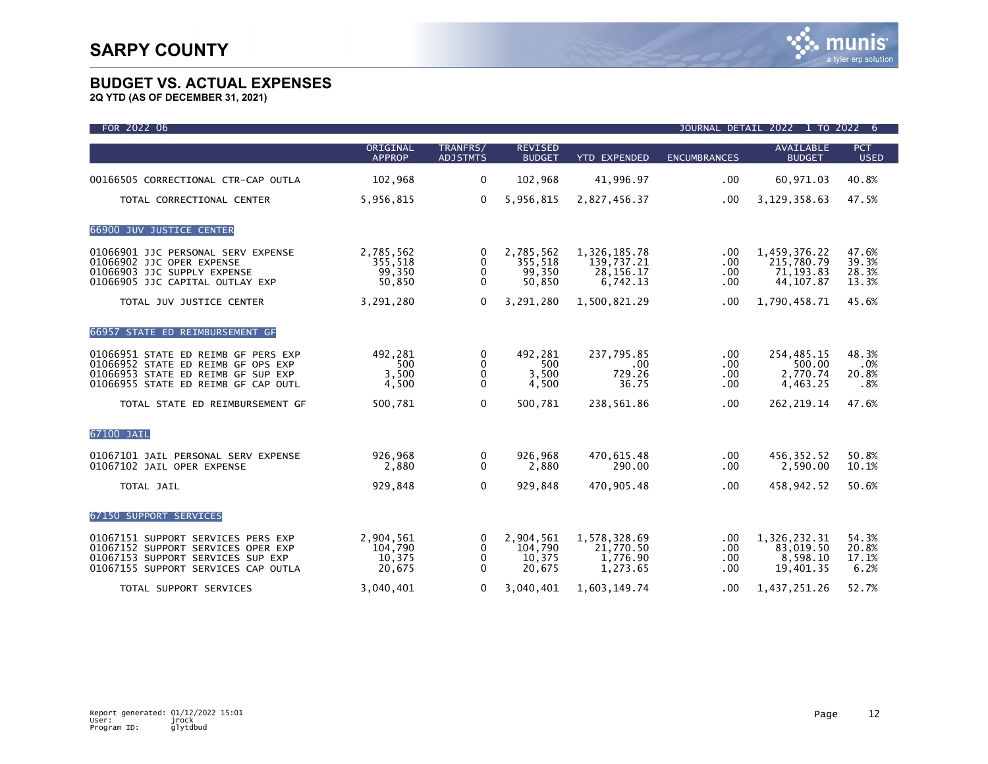| FOR 2022 06                                                                                                                                            |                                          |                                               |                                          |                                                       |                                    | JOURNAL DETAIL 2022 1 TO 2022 6                       |                                  |
|--------------------------------------------------------------------------------------------------------------------------------------------------------|------------------------------------------|-----------------------------------------------|------------------------------------------|-------------------------------------------------------|------------------------------------|-------------------------------------------------------|----------------------------------|
|                                                                                                                                                        | ORIGINAL<br><b>APPROP</b>                | TRANFRS/<br><b>ADJSTMTS</b>                   | <b>REVISED</b><br><b>BUDGET</b>          | <b>YTD EXPENDED</b>                                   | <b>ENCUMBRANCES</b>                | <b>AVAILABLE</b><br><b>BUDGET</b>                     | PCT<br><b>USED</b>               |
| 00166505 CORRECTIONAL CTR-CAP OUTLA                                                                                                                    | 102,968                                  | $\mathbf{0}$                                  | 102,968                                  | 41,996.97                                             | .00.                               | 60,971.03                                             | 40.8%                            |
| TOTAL CORRECTIONAL CENTER                                                                                                                              | 5,956,815                                | $\mathbf{0}$                                  | 5,956,815                                | 2,827,456.37                                          | .00.                               | 3,129,358.63                                          | 47.5%                            |
| 66900 JUV JUSTICE CENTER                                                                                                                               |                                          |                                               |                                          |                                                       |                                    |                                                       |                                  |
| 01066901 JJC PERSONAL SERV EXPENSE<br>01066902 JJC OPER EXPENSE<br>01066903 JJC SUPPLY EXPENSE<br>01066905 JJC CAPITAL OUTLAY EXP                      | 2,785,562<br>355,518<br>99,350<br>50,850 | 0<br>$\mathbf{0}$<br>0<br>$\mathbf{0}$        | 2,785,562<br>355,518<br>99,350<br>50,850 | 1,326,185.78<br>139,737.21<br>28, 156. 17<br>6,742.13 | .00<br>.00<br>.00<br>.00           | 1,459,376.22<br>215,780.79<br>71,193.83<br>44, 107.87 | 47.6%<br>39.3%<br>28.3%<br>13.3% |
| TOTAL JUV JUSTICE CENTER                                                                                                                               | 3,291,280                                | $\mathbf{0}$                                  | 3,291,280                                | 1,500,821.29                                          | .00                                | 1,790,458.71                                          | 45.6%                            |
| 66957 STATE ED REIMBURSEMENT GF                                                                                                                        |                                          |                                               |                                          |                                                       |                                    |                                                       |                                  |
| 01066951 STATE ED REIMB GF PERS EXP<br>01066952 STATE ED REIMB GF OPS EXP<br>01066953 STATE ED REIMB GF SUP EXP<br>01066955 STATE ED REIMB GF CAP OUTL | 492,281<br>500<br>3,500<br>4,500         | 0<br>$\mathbf{0}$<br>0<br>$\mathbf{0}$        | 492,281<br>500<br>3,500<br>4,500         | 237,795.85<br>$.00 \,$<br>729.26<br>36.75             | $.00 \,$<br>.00<br>$.00 \,$<br>.00 | 254,485.15<br>500.00<br>2,770.74<br>4,463.25          | 48.3%<br>.0%<br>20.8%<br>.8%     |
| TOTAL STATE ED REIMBURSEMENT GF                                                                                                                        | 500,781                                  | $\mathbf{0}$                                  | 500.781                                  | 238,561.86                                            | .00                                | 262, 219.14                                           | 47.6%                            |
| 67100 JAIL                                                                                                                                             |                                          |                                               |                                          |                                                       |                                    |                                                       |                                  |
| 01067101 JAIL PERSONAL SERV EXPENSE<br>01067102 JAIL OPER EXPENSE                                                                                      | 926,968<br>2,880                         | 0<br>$\mathbf{0}$                             | 926,968<br>2,880                         | 470,615.48<br>290.00                                  | .00<br>$.00 \,$                    | 456, 352.52<br>2,590.00                               | 50.8%<br>10.1%                   |
| TOTAL JAIL                                                                                                                                             | 929,848                                  | $\mathbf 0$                                   | 929,848                                  | 470,905.48                                            | .00                                | 458,942.52                                            | 50.6%                            |
| 67150 SUPPORT SERVICES                                                                                                                                 |                                          |                                               |                                          |                                                       |                                    |                                                       |                                  |
| 01067151 SUPPORT SERVICES PERS EXP<br>01067152 SUPPORT SERVICES OPER EXP<br>01067153 SUPPORT SERVICES SUP EXP<br>01067155 SUPPORT SERVICES CAP OUTLA   | 2,904,561<br>104,790<br>10,375<br>20,675 | 0<br>$\mathbf{0}$<br>$\Omega$<br>$\mathbf{0}$ | 2,904,561<br>104,790<br>10,375<br>20,675 | 1,578,328.69<br>21,770.50<br>1,776.90<br>1,273.65     | .00<br>.00<br>.00<br>.00           | 1,326,232.31<br>83,019.50<br>8,598.10<br>19,401.35    | 54.3%<br>20.8%<br>17.1%<br>6.2%  |
| TOTAL SUPPORT SERVICES                                                                                                                                 | 3.040.401                                | $\mathbf{0}$                                  | 3.040.401                                | 1.603.149.74                                          | .00                                | 1,437,251.26                                          | 52.7%                            |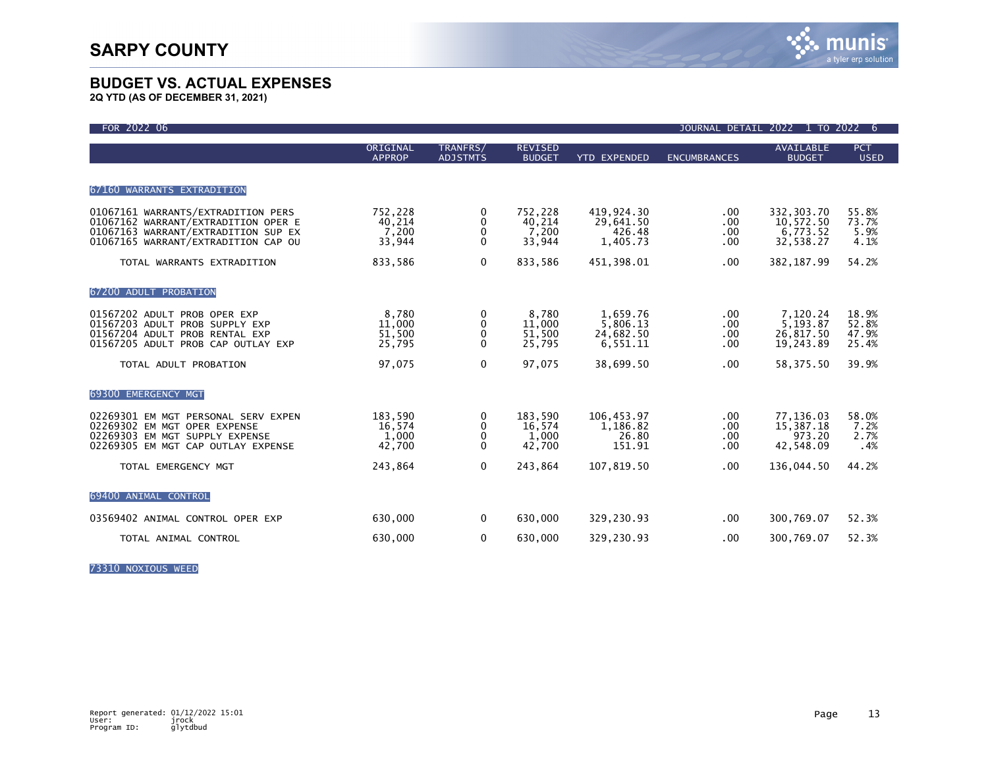**2Q YTD (AS OF DECEMBER 31, 2021)**

| FOR 2022 06                                                                                                                                             |                                      |                                   |                                      |                                               | JOURNAL DETAIL 2022        | 1 TO 2022                                        | -6                               |
|---------------------------------------------------------------------------------------------------------------------------------------------------------|--------------------------------------|-----------------------------------|--------------------------------------|-----------------------------------------------|----------------------------|--------------------------------------------------|----------------------------------|
|                                                                                                                                                         | ORIGINAL<br><b>APPROP</b>            | TRANFRS/<br><b>ADJSTMTS</b>       | <b>REVISED</b><br><b>BUDGET</b>      | <b>YTD EXPENDED</b>                           | <b>ENCUMBRANCES</b>        | <b>AVAILABLE</b><br><b>BUDGET</b>                | <b>PCT</b><br><b>USED</b>        |
| 67160 WARRANTS EXTRADITION                                                                                                                              |                                      |                                   |                                      |                                               |                            |                                                  |                                  |
| 01067161 WARRANTS/EXTRADITION PERS<br>01067162 WARRANT/EXTRADITION OPER E<br>01067163 WARRANT/EXTRADITION SUP EX<br>01067165 WARRANT/EXTRADITION CAP OU | 752,228<br>40,214<br>7,200<br>33,944 | 0<br>0<br>$\mathbf 0$<br>$\Omega$ | 752.228<br>40,214<br>7,200<br>33,944 | 419.924.30<br>29,641.50<br>426.48<br>1,405.73 | .00<br>.00<br>.00<br>.00.  | 332,303.70<br>10,572.50<br>6.773.52<br>32,538.27 | 55.8%<br>73.7%<br>5.9%<br>4.1%   |
| TOTAL WARRANTS EXTRADITION                                                                                                                              | 833,586                              | $\mathbf 0$                       | 833,586                              | 451,398.01                                    | .00.                       | 382, 187.99                                      | 54.2%                            |
| 67200 ADULT PROBATION                                                                                                                                   |                                      |                                   |                                      |                                               |                            |                                                  |                                  |
| 01567202 ADULT PROB OPER EXP<br>01567203 ADULT PROB SUPPLY EXP<br>01567204 ADULT PROB RENTAL EXP<br>01567205 ADULT PROB CAP OUTLAY EXP                  | 8,780<br>11,000<br>51,500<br>25,795  | 0<br>0<br>$\mathbf 0$<br>$\Omega$ | 8,780<br>11,000<br>51,500<br>25,795  | 1,659.76<br>5,806.13<br>24,682.50<br>6,551.11 | .00.<br>.00.<br>.00<br>.00 | 7,120.24<br>5,193.87<br>26,817.50<br>19,243.89   | 18.9%<br>52.8%<br>47.9%<br>25.4% |
| TOTAL ADULT PROBATION                                                                                                                                   | 97,075                               | $\mathbf 0$                       | 97,075                               | 38,699.50                                     | .00                        | 58, 375.50                                       | 39.9%                            |
| 69300 EMERGENCY MGT                                                                                                                                     |                                      |                                   |                                      |                                               |                            |                                                  |                                  |
| 02269301 EM MGT PERSONAL SERV EXPEN<br>02269302 EM MGT OPER EXPENSE<br>02269303 EM MGT SUPPLY EXPENSE<br>02269305 EM MGT CAP OUTLAY EXPENSE             | 183,590<br>16,574<br>1,000<br>42,700 | 0<br>0<br>0<br>$\mathbf{0}$       | 183,590<br>16,574<br>1,000<br>42,700 | 106,453.97<br>1,186.82<br>26.80<br>151.91     | .00.<br>.00<br>.00<br>.00  | 77,136.03<br>15,387.18<br>973.20<br>42,548.09    | 58.0%<br>7.2%<br>2.7%<br>.4%     |
| TOTAL EMERGENCY MGT                                                                                                                                     | 243,864                              | $\mathbf{0}$                      | 243,864                              | 107,819.50                                    | .00.                       | 136,044.50                                       | 44.2%                            |
| 69400 ANIMAL CONTROL                                                                                                                                    |                                      |                                   |                                      |                                               |                            |                                                  |                                  |
| 03569402 ANIMAL CONTROL OPER EXP                                                                                                                        | 630,000                              | 0                                 | 630,000                              | 329,230.93                                    | .00                        | 300,769.07                                       | 52.3%                            |
| TOTAL ANIMAL CONTROL                                                                                                                                    | 630,000                              | $\mathbf 0$                       | 630,000                              | 329,230.93                                    | .00                        | 300,769.07                                       | 52.3%                            |

73310 NOXIOUS WEED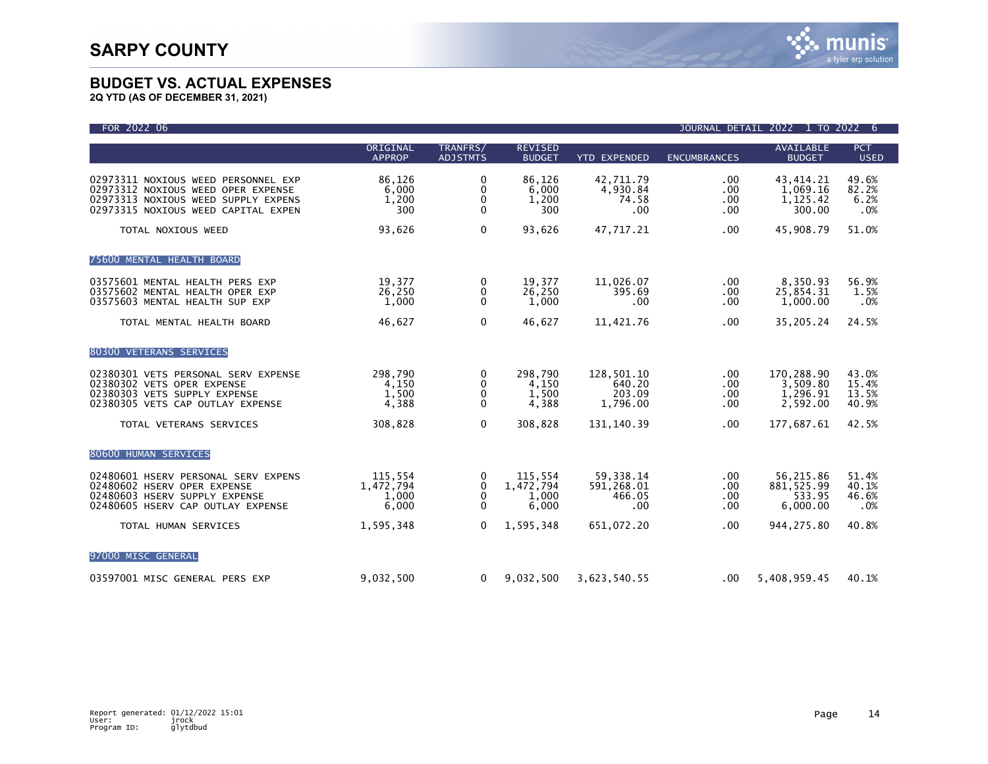

| FOR 2022 06                                                                                                                                             |                                        |                                                  |                                        |                                            |                               | JOURNAL DETAIL 2022 1 TO 2022                  | 6                                |
|---------------------------------------------------------------------------------------------------------------------------------------------------------|----------------------------------------|--------------------------------------------------|----------------------------------------|--------------------------------------------|-------------------------------|------------------------------------------------|----------------------------------|
|                                                                                                                                                         | ORIGINAL<br><b>APPROP</b>              | TRANFRS/<br><b>ADJSTMTS</b>                      | <b>REVISED</b><br><b>BUDGET</b>        | <b>YTD EXPENDED</b>                        | <b>ENCUMBRANCES</b>           | <b>AVAILABLE</b><br><b>BUDGET</b>              | <b>PCT</b><br><b>USED</b>        |
| 02973311 NOXIOUS WEED PERSONNEL EXP<br>02973312 NOXIOUS WEED OPER EXPENSE<br>02973313 NOXIOUS WEED SUPPLY EXPENS<br>02973315 NOXIOUS WEED CAPITAL EXPEN | 86,126<br>6,000<br>1,200<br>300        | 0<br>0<br>0<br>$\mathbf 0$                       | 86,126<br>6.000<br>1,200<br>300        | 42,711.79<br>4,930.84<br>74.58<br>.00      | .00<br>.00<br>.00<br>.00      | 43, 414. 21<br>1,069.16<br>1,125.42<br>300.00  | 49.6%<br>82.2%<br>6.2%<br>.0%    |
| TOTAL NOXIOUS WEED                                                                                                                                      | 93,626                                 | $\mathbf 0$                                      | 93,626                                 | 47.717.21                                  | .00                           | 45,908.79                                      | 51.0%                            |
| 75600 MENTAL HEALTH BOARD                                                                                                                               |                                        |                                                  |                                        |                                            |                               |                                                |                                  |
| 03575601 MENTAL HEALTH PERS EXP<br>03575602 MENTAL HEALTH OPER EXP<br>03575603 MENTAL HEALTH SUP EXP                                                    | 19,377<br>26,250<br>1,000              | 0<br>$\mathbf 0$<br>$\mathbf 0$                  | 19,377<br>26,250<br>1,000              | 11,026.07<br>395.69<br>.00                 | $.00 \,$<br>.00<br>.00        | 8,350.93<br>25,854.31<br>1,000.00              | 56.9%<br>1.5%<br>.0%             |
| TOTAL MENTAL HEALTH BOARD                                                                                                                               | 46,627                                 | $\mathbf 0$                                      | 46,627                                 | 11,421.76                                  | .00                           | 35,205.24                                      | 24.5%                            |
| 80300 VETERANS SERVICES                                                                                                                                 |                                        |                                                  |                                        |                                            |                               |                                                |                                  |
| 02380301 VETS PERSONAL SERV EXPENSE<br>02380302 VETS OPER EXPENSE<br>02380303 VETS SUPPLY EXPENSE<br>02380305 VETS CAP OUTLAY EXPENSE                   | 298,790<br>4,150<br>1,500<br>4,388     | $\bf{0}$<br>$\Omega$<br>0<br>$\Omega$            | 298,790<br>4,150<br>1,500<br>4,388     | 128,501.10<br>640.20<br>203.09<br>1,796.00 | $.00 \,$<br>.00<br>.00<br>.00 | 170,288.90<br>3,509.80<br>1,296.91<br>2,592.00 | 43.0%<br>15.4%<br>13.5%<br>40.9% |
| TOTAL VETERANS SERVICES                                                                                                                                 | 308,828                                | $\mathbf{0}$                                     | 308,828                                | 131, 140.39                                | .00.                          | 177,687.61                                     | 42.5%                            |
| 80600 HUMAN SERVICES                                                                                                                                    |                                        |                                                  |                                        |                                            |                               |                                                |                                  |
| 02480601 HSERV PERSONAL SERV EXPENS<br>02480602 HSERV OPER EXPENSE<br>02480603 HSERV SUPPLY EXPENSE<br>02480605 HSERV CAP OUTLAY EXPENSE                | 115,554<br>1,472,794<br>1,000<br>6,000 | 0<br>$\mathbf{0}$<br>$\mathbf{0}$<br>$\mathbf 0$ | 115,554<br>1,472,794<br>1,000<br>6,000 | 59,338.14<br>591,268.01<br>466.05<br>.00   | $.00 \,$<br>.00<br>.00<br>.00 | 56,215.86<br>881, 525.99<br>533.95<br>6.000.00 | 51.4%<br>40.1%<br>46.6%<br>.0%   |
| TOTAL HUMAN SERVICES                                                                                                                                    | 1,595,348                              | $\mathbf{0}$                                     | 1,595,348                              | 651,072.20                                 | .00                           | 944, 275.80                                    | 40.8%                            |
| 97000 MISC GENERAL                                                                                                                                      |                                        |                                                  |                                        |                                            |                               |                                                |                                  |
| 03597001 MISC GENERAL PERS EXP                                                                                                                          | 9,032,500                              | $\mathbf{0}$                                     | 9,032,500                              | 3,623,540.55                               | $.00 \,$                      | 5,408,959.45                                   | 40.1%                            |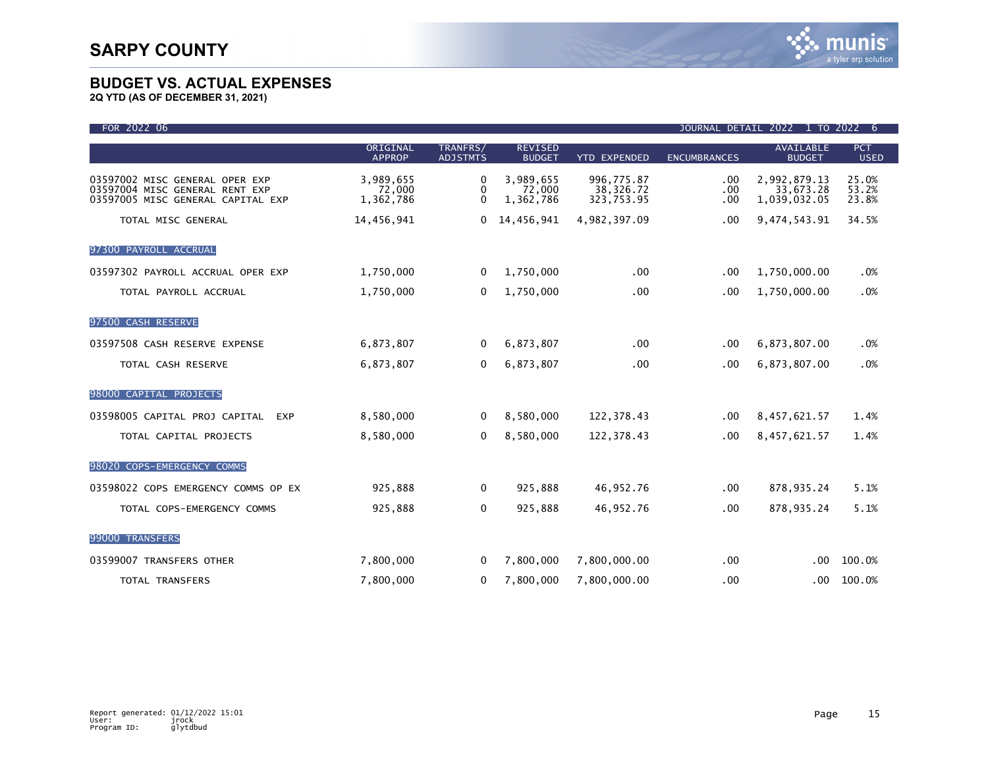| FOR 2022 06                                                                                           | JOURNAL DETAIL 2022 1 TO 2022<br>6 |                             |                                  |                                       |                     |                                           |                           |
|-------------------------------------------------------------------------------------------------------|------------------------------------|-----------------------------|----------------------------------|---------------------------------------|---------------------|-------------------------------------------|---------------------------|
|                                                                                                       | ORIGINAL<br><b>APPROP</b>          | TRANFRS/<br><b>ADJSTMTS</b> | <b>REVISED</b><br><b>BUDGET</b>  | <b>YTD EXPENDED</b>                   | <b>ENCUMBRANCES</b> | <b>AVAILABLE</b><br><b>BUDGET</b>         | <b>PCT</b><br><b>USED</b> |
| 03597002 MISC GENERAL OPER EXP<br>03597004 MISC GENERAL RENT EXP<br>03597005 MISC GENERAL CAPITAL EXP | 3,989,655<br>72,000<br>1,362,786   | 0<br>0<br>$\Omega$          | 3,989,655<br>72,000<br>1,362,786 | 996,775.87<br>38,326.72<br>323,753.95 | .00<br>.00<br>.00   | 2,992,879.13<br>33,673.28<br>1,039,032.05 | 25.0%<br>53.2%<br>23.8%   |
| TOTAL MISC GENERAL                                                                                    | 14,456,941                         | $\mathbf{0}$                | 14,456,941                       | 4,982,397.09                          | .00                 | 9,474,543.91                              | 34.5%                     |
| 97300 PAYROLL ACCRUAL                                                                                 |                                    |                             |                                  |                                       |                     |                                           |                           |
| 03597302 PAYROLL ACCRUAL OPER EXP                                                                     | 1,750,000                          | 0                           | 1,750,000                        | .00                                   | .00                 | 1,750,000.00                              | .0%                       |
| TOTAL PAYROLL ACCRUAL                                                                                 | 1,750,000                          | 0                           | 1,750,000                        | .00                                   | .00                 | 1,750,000.00                              | .0%                       |
| 97500 CASH RESERVE                                                                                    |                                    |                             |                                  |                                       |                     |                                           |                           |
| 03597508 CASH RESERVE EXPENSE                                                                         | 6,873,807                          | 0                           | 6,873,807                        | .00 <sub>1</sub>                      | .00                 | 6,873,807.00                              | .0%                       |
| TOTAL CASH RESERVE                                                                                    | 6,873,807                          | $\Omega$                    | 6,873,807                        | .00                                   | .00                 | 6,873,807.00                              | .0%                       |
| 98000 CAPITAL PROJECTS                                                                                |                                    |                             |                                  |                                       |                     |                                           |                           |
| 03598005 CAPITAL PROJ CAPITAL<br><b>EXP</b>                                                           | 8,580,000                          | $\Omega$                    | 8,580,000                        | 122,378.43                            | .00                 | 8,457,621.57                              | 1.4%                      |
| TOTAL CAPITAL PROJECTS                                                                                | 8,580,000                          | 0                           | 8,580,000                        | 122,378.43                            | .00                 | 8,457,621.57                              | 1.4%                      |
| 98020 COPS-EMERGENCY COMMS                                                                            |                                    |                             |                                  |                                       |                     |                                           |                           |
| 03598022 COPS EMERGENCY COMMS OP EX                                                                   | 925,888                            | 0                           | 925,888                          | 46,952.76                             | .00                 | 878,935.24                                | 5.1%                      |
| TOTAL COPS-EMERGENCY COMMS                                                                            | 925,888                            | 0                           | 925,888                          | 46,952.76                             | .00                 | 878,935.24                                | 5.1%                      |
| 99000 TRANSFERS                                                                                       |                                    |                             |                                  |                                       |                     |                                           |                           |
| 03599007 TRANSFERS OTHER                                                                              | 7,800,000                          | $\bf{0}$                    | 7,800,000                        | 7,800,000.00                          | .00.                | $.00 \,$                                  | 100.0%                    |
| TOTAL TRANSFERS                                                                                       | 7,800,000                          | 0                           | 7,800,000                        | 7,800,000.00                          | .00                 | .00                                       | 100.0%                    |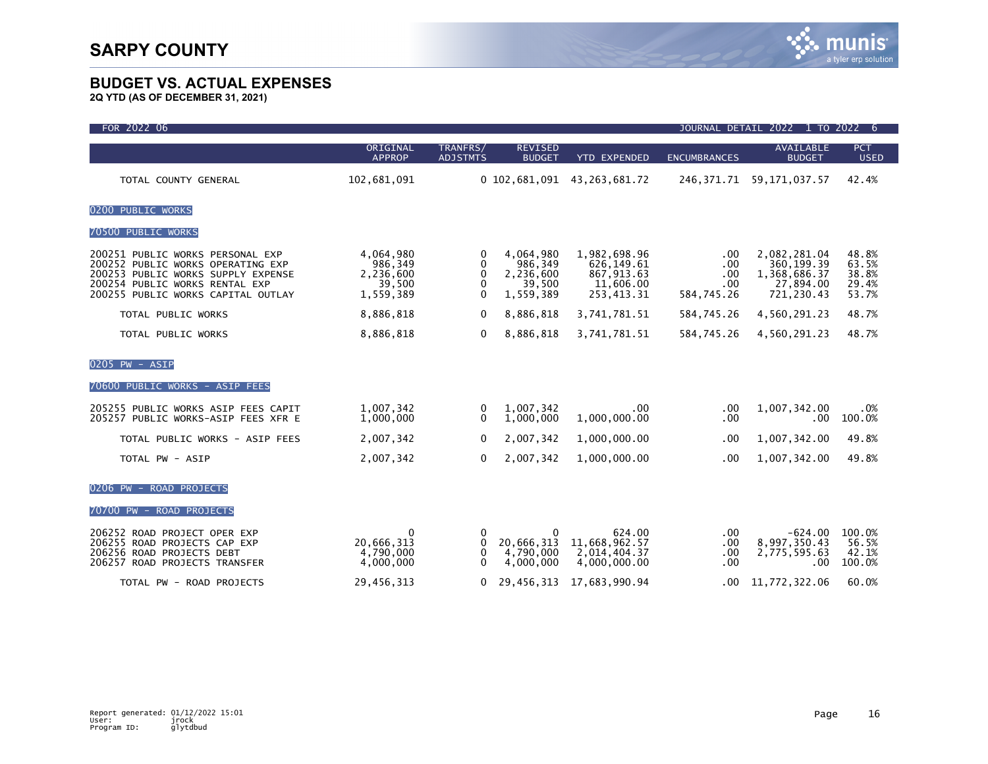| FOR 2022 06                                                                                                                                                                         | JOURNAL DETAIL 2022 1 TO 2022<br>-6                      |                                     |                                                          |                                                                     |                                        |                                                                        |                                           |
|-------------------------------------------------------------------------------------------------------------------------------------------------------------------------------------|----------------------------------------------------------|-------------------------------------|----------------------------------------------------------|---------------------------------------------------------------------|----------------------------------------|------------------------------------------------------------------------|-------------------------------------------|
|                                                                                                                                                                                     | ORIGINAL<br><b>APPROP</b>                                | TRANFRS/<br><b>ADJSTMTS</b>         | <b>REVISED</b><br><b>BUDGET</b>                          | <b>YTD EXPENDED</b>                                                 | <b>ENCUMBRANCES</b>                    | <b>AVAILABLE</b><br><b>BUDGET</b>                                      | <b>PCT</b><br><b>USED</b>                 |
| TOTAL COUNTY GENERAL                                                                                                                                                                | 102,681,091                                              |                                     | 0 102,681,091                                            | 43, 263, 681. 72                                                    |                                        | 246, 371.71 59, 171, 037.57                                            | 42.4%                                     |
| 0200 PUBLIC WORKS                                                                                                                                                                   |                                                          |                                     |                                                          |                                                                     |                                        |                                                                        |                                           |
| 70500 PUBLIC WORKS                                                                                                                                                                  |                                                          |                                     |                                                          |                                                                     |                                        |                                                                        |                                           |
| 200251 PUBLIC WORKS PERSONAL EXP<br>200252 PUBLIC WORKS OPERATING EXP<br>200253 PUBLIC WORKS SUPPLY EXPENSE<br>200254 PUBLIC WORKS RENTAL EXP<br>200255 PUBLIC WORKS CAPITAL OUTLAY | 4,064,980<br>986,349<br>2,236,600<br>39,500<br>1,559,389 | 0<br>0<br>$\Omega$<br>0<br>$\Omega$ | 4,064,980<br>986,349<br>2,236,600<br>39,500<br>1,559,389 | 1,982,698.96<br>626.149.61<br>867,913.63<br>11,606.00<br>253,413.31 | .00<br>.00<br>.00<br>.00<br>584,745.26 | 2,082,281.04<br>360, 199.39<br>1,368,686.37<br>27,894.00<br>721,230.43 | 48.8%<br>63.5%<br>38.8%<br>29.4%<br>53.7% |
| TOTAL PUBLIC WORKS                                                                                                                                                                  | 8,886,818                                                | $\Omega$                            | 8,886,818                                                | 3,741,781.51                                                        | 584,745.26                             | 4,560,291.23                                                           | 48.7%                                     |
| TOTAL PUBLIC WORKS                                                                                                                                                                  | 8,886,818                                                | $\mathbf{0}$                        | 8,886,818                                                | 3,741,781.51                                                        | 584,745.26                             | 4,560,291.23                                                           | 48.7%                                     |
| 0205 PW - ASIP<br>70600 PUBLIC WORKS - ASIP FEES                                                                                                                                    |                                                          |                                     |                                                          |                                                                     |                                        |                                                                        |                                           |
| 205255 PUBLIC WORKS ASIP FEES CAPIT<br>205257 PUBLIC WORKS-ASIP FEES XFR E                                                                                                          | 1,007,342<br>1,000,000                                   | 0<br>$\mathbf{0}$                   | 1,007,342<br>1,000,000                                   | .00.<br>1,000,000.00                                                | .00<br>.00                             | 1,007,342.00<br>$.00 \,$                                               | .0%<br>100.0%                             |
| TOTAL PUBLIC WORKS - ASIP FEES                                                                                                                                                      | 2,007,342                                                | $\Omega$                            | 2,007,342                                                | 1,000,000.00                                                        | .00                                    | 1,007,342.00                                                           | 49.8%                                     |
| TOTAL PW - ASIP                                                                                                                                                                     | 2,007,342                                                | 0                                   | 2,007,342                                                | 1,000,000.00                                                        | .00.                                   | 1,007,342.00                                                           | 49.8%                                     |
| 0206 PW - ROAD PROJECTS                                                                                                                                                             |                                                          |                                     |                                                          |                                                                     |                                        |                                                                        |                                           |
| 70700 PW - ROAD PROJECTS                                                                                                                                                            |                                                          |                                     |                                                          |                                                                     |                                        |                                                                        |                                           |
| 206252 ROAD PROJECT OPER EXP<br>206255 ROAD PROJECTS CAP EXP<br>206256 ROAD PROJECTS DEBT<br>206257 ROAD PROJECTS TRANSFER                                                          | 0<br>20,666,313<br>4,790,000<br>4,000,000                | 0<br>0<br>0<br>$\mathbf{0}$         | 0<br>20,666,313<br>4,790,000<br>4,000,000                | 624.00<br>11,668,962.57<br>2,014,404.37<br>4,000,000.00             | .00.<br>.00.<br>.00<br>.00             | $-624.00$<br>8,997,350.43<br>2,775,595.63<br>.00                       | 100.0%<br>56.5%<br>42.1%<br>100.0%        |
| TOTAL PW - ROAD PROJECTS                                                                                                                                                            | 29,456,313                                               | $\mathbf{0}$                        | 29,456,313                                               | 17,683,990.94                                                       | $.00 \,$                               | 11,772,322.06                                                          | 60.0%                                     |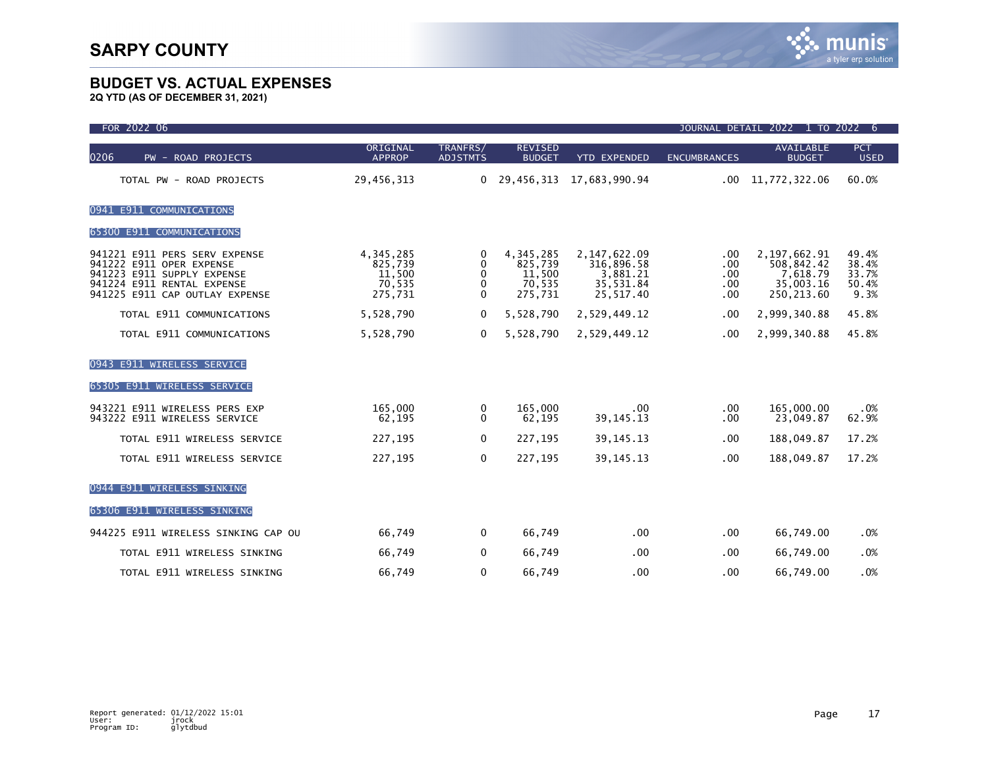| FOR 2022 06                                                                                                                                             | JOURNAL DETAIL 2022 1 TO 2022<br>6                  |                             |                                                     |                                                                    |                                 |                                                                       |                                          |
|---------------------------------------------------------------------------------------------------------------------------------------------------------|-----------------------------------------------------|-----------------------------|-----------------------------------------------------|--------------------------------------------------------------------|---------------------------------|-----------------------------------------------------------------------|------------------------------------------|
| 0206<br>PW - ROAD PROJECTS                                                                                                                              | ORIGINAL<br><b>APPROP</b>                           | TRANFRS/<br><b>ADJSTMTS</b> | <b>REVISED</b><br><b>BUDGET</b>                     | <b>YTD EXPENDED</b>                                                | <b>ENCUMBRANCES</b>             | <b>AVAILABLE</b><br><b>BUDGET</b>                                     | <b>PCT</b><br><b>USED</b>                |
| TOTAL PW - ROAD PROJECTS                                                                                                                                | 29,456,313                                          | 0                           | 29,456,313                                          | 17,683,990.94                                                      | .00                             | 11,772,322.06                                                         | 60.0%                                    |
| 0941 E911 COMMUNICATIONS                                                                                                                                |                                                     |                             |                                                     |                                                                    |                                 |                                                                       |                                          |
| 65300 E911 COMMUNICATIONS                                                                                                                               |                                                     |                             |                                                     |                                                                    |                                 |                                                                       |                                          |
| 941221 E911 PERS SERV EXPENSE<br>941222 E911 OPER EXPENSE<br>941223 E911 SUPPLY EXPENSE<br>941224 E911 RENTAL EXPENSE<br>941225 E911 CAP OUTLAY EXPENSE | 4,345,285<br>825,739<br>11,500<br>70,535<br>275,731 | 0<br>0<br>0<br>0<br>0       | 4,345,285<br>825,739<br>11,500<br>70,535<br>275,731 | 2, 147, 622.09<br>316,896.58<br>3,881.21<br>35,531.84<br>25,517.40 | .00<br>.00<br>.00<br>.00<br>.00 | 2, 197, 662. 91<br>508,842.42<br>7,618.79<br>35,003.16<br>250, 213.60 | 49.4%<br>38.4%<br>33.7%<br>50.4%<br>9.3% |
| TOTAL E911 COMMUNICATIONS                                                                                                                               | 5,528,790                                           | 0                           | 5,528,790                                           | 2,529,449.12                                                       | .00                             | 2,999,340.88                                                          | 45.8%                                    |
| TOTAL E911 COMMUNICATIONS                                                                                                                               | 5,528,790                                           | 0                           | 5,528,790                                           | 2,529,449.12                                                       | .00                             | 2,999,340.88                                                          | 45.8%                                    |
| <b>E911 WIRELESS SERVICE</b><br>0943<br>65305 E911 WIRELESS SERVICE                                                                                     |                                                     |                             |                                                     |                                                                    |                                 |                                                                       |                                          |
| 943221 E911 WIRELESS PERS EXP<br>943222 E911 WIRELESS SERVICE                                                                                           | 165,000<br>62,195                                   | 0<br>$\mathbf{0}$           | 165,000<br>62,195                                   | $.00 \,$<br>39, 145. 13                                            | .00<br>.00                      | 165,000.00<br>23,049.87                                               | .0%<br>62.9%                             |
| TOTAL E911 WIRELESS SERVICE                                                                                                                             | 227,195                                             | 0                           | 227,195                                             | 39, 145. 13                                                        | .00                             | 188,049.87                                                            | 17.2%                                    |
| TOTAL E911 WIRELESS SERVICE                                                                                                                             | 227,195                                             | 0                           | 227,195                                             | 39, 145. 13                                                        | .00                             | 188,049.87                                                            | 17.2%                                    |
| <b>E911 WIRELESS SINKING</b><br>0944                                                                                                                    |                                                     |                             |                                                     |                                                                    |                                 |                                                                       |                                          |
| 65306 E911 WIRELESS SINKING                                                                                                                             |                                                     |                             |                                                     |                                                                    |                                 |                                                                       |                                          |
| 944225 E911 WIRELESS SINKING CAP OU                                                                                                                     | 66,749                                              | 0                           | 66,749                                              | .00.                                                               | .00                             | 66,749.00                                                             | .0%                                      |
| TOTAL E911 WIRELESS SINKING                                                                                                                             | 66,749                                              | 0                           | 66,749                                              | .00                                                                | .00                             | 66,749.00                                                             | .0%                                      |
| TOTAL E911 WIRELESS SINKING                                                                                                                             | 66,749                                              | 0                           | 66,749                                              | .00                                                                | .00                             | 66,749.00                                                             | .0%                                      |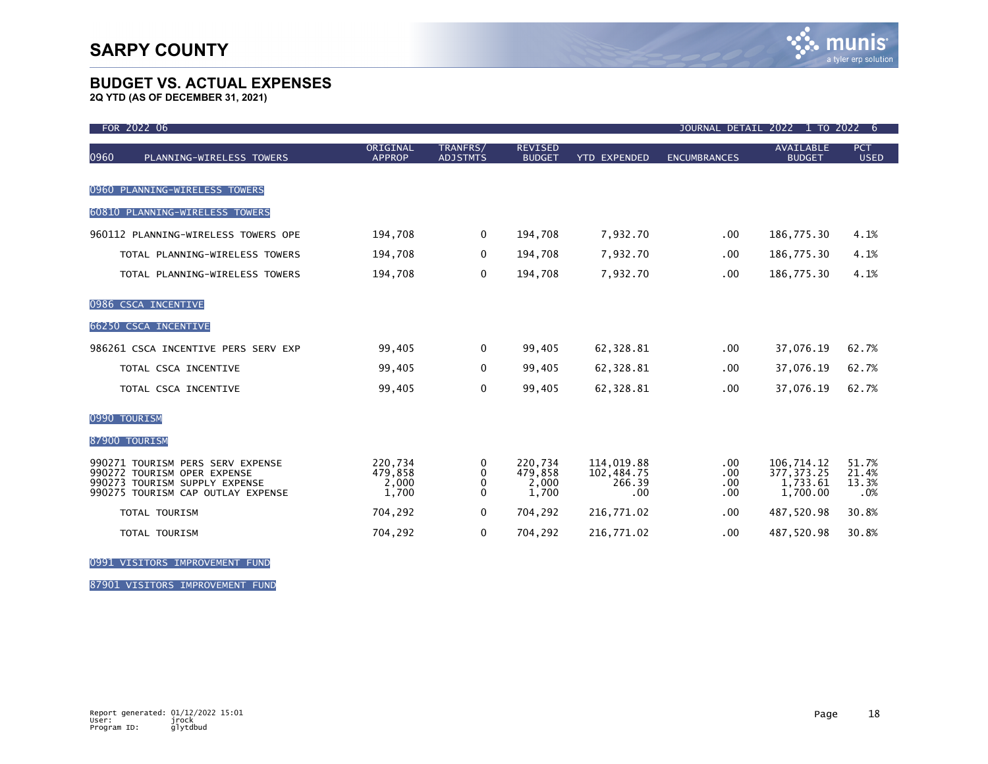**2Q YTD (AS OF DECEMBER 31, 2021)**

| FOR 2022 06                                                                                                                           |                                      |                             |                                      |                                           | <b>JOURNAL DETAIL</b>    | 2022 1 TO 2022                                    | 6                              |
|---------------------------------------------------------------------------------------------------------------------------------------|--------------------------------------|-----------------------------|--------------------------------------|-------------------------------------------|--------------------------|---------------------------------------------------|--------------------------------|
| 0960<br>PLANNING-WIRELESS TOWERS                                                                                                      | ORIGINAL<br><b>APPROP</b>            | TRANFRS/<br><b>ADJSTMTS</b> | <b>REVISED</b><br><b>BUDGET</b>      | <b>YTD EXPENDED</b>                       | <b>ENCUMBRANCES</b>      | <b>AVAILABLE</b><br><b>BUDGET</b>                 | <b>PCT</b><br><b>USED</b>      |
| 0960 PLANNING-WIRELESS TOWERS                                                                                                         |                                      |                             |                                      |                                           |                          |                                                   |                                |
| 60810 PLANNING-WIRELESS TOWERS                                                                                                        |                                      |                             |                                      |                                           |                          |                                                   |                                |
| 960112 PLANNING-WIRELESS TOWERS OPE                                                                                                   | 194,708                              | $\mathbf 0$                 | 194,708                              | 7,932.70                                  | $.00 \,$                 | 186,775.30                                        | 4.1%                           |
| TOTAL PLANNING-WIRELESS TOWERS                                                                                                        | 194,708                              | $\Omega$                    | 194,708                              | 7,932.70                                  | .00                      | 186,775.30                                        | 4.1%                           |
| TOTAL PLANNING-WIRELESS TOWERS                                                                                                        | 194,708                              | 0                           | 194,708                              | 7,932.70                                  | .00                      | 186,775.30                                        | 4.1%                           |
| 0986 CSCA INCENTIVE                                                                                                                   |                                      |                             |                                      |                                           |                          |                                                   |                                |
| <b>66250 CSCA INCENTIVE</b>                                                                                                           |                                      |                             |                                      |                                           |                          |                                                   |                                |
| 986261 CSCA INCENTIVE PERS SERV EXP                                                                                                   | 99,405                               | $\mathbf 0$                 | 99,405                               | 62,328.81                                 | .00.                     | 37,076.19                                         | 62.7%                          |
| TOTAL CSCA INCENTIVE                                                                                                                  | 99,405                               | 0                           | 99,405                               | 62,328.81                                 | .00.                     | 37,076.19                                         | 62.7%                          |
| TOTAL CSCA INCENTIVE                                                                                                                  | 99,405                               | $\mathbf 0$                 | 99,405                               | 62,328.81                                 | .00.                     | 37,076.19                                         | 62.7%                          |
| 0990 TOURISM                                                                                                                          |                                      |                             |                                      |                                           |                          |                                                   |                                |
| 87900 TOURISM                                                                                                                         |                                      |                             |                                      |                                           |                          |                                                   |                                |
| 990271 TOURISM PERS SERV EXPENSE<br>990272 TOURISM OPER EXPENSE<br>990273 TOURISM SUPPLY EXPENSE<br>990275 TOURISM CAP OUTLAY EXPENSE | 220.734<br>479,858<br>2,000<br>1,700 | 0<br>0<br>0<br>$\Omega$     | 220.734<br>479,858<br>2,000<br>1,700 | 114,019.88<br>102,484.75<br>266.39<br>.00 | .00<br>.00<br>.00<br>.00 | 106,714.12<br>377, 373.25<br>1,733.61<br>1.700.00 | 51.7%<br>21.4%<br>13.3%<br>.0% |
| TOTAL TOURISM                                                                                                                         | 704,292                              | 0                           | 704,292                              | 216,771.02                                | .00                      | 487,520.98                                        | 30.8%                          |
| <b>TOTAL TOURISM</b>                                                                                                                  | 704,292                              | 0                           | 704,292                              | 216,771.02                                | .00                      | 487,520.98                                        | 30.8%                          |

0991 VISITORS IMPROVEMENT FUND

87901 VISITORS IMPROVEMENT FUND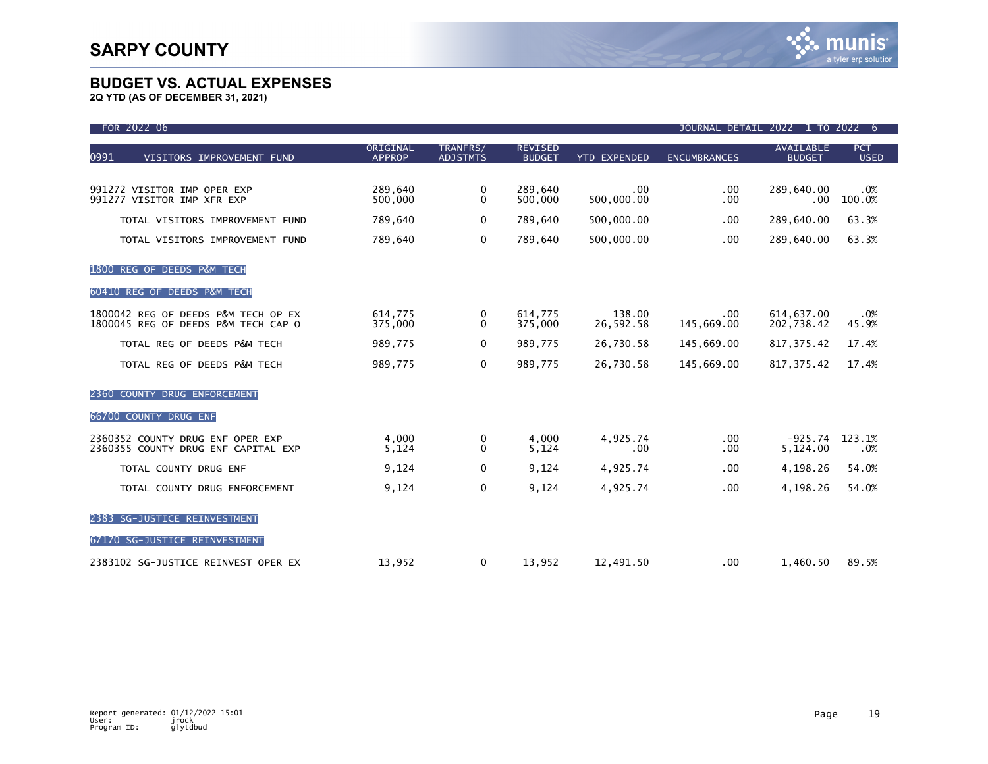| FOR 2022 06                                                                |                           |                             |                                 |                     |                           | JOURNAL DETAIL 2022 1 TO 2022     | -6                        |
|----------------------------------------------------------------------------|---------------------------|-----------------------------|---------------------------------|---------------------|---------------------------|-----------------------------------|---------------------------|
| 0991<br>VISITORS IMPROVEMENT FUND                                          | ORIGINAL<br><b>APPROP</b> | TRANFRS/<br><b>ADJSTMTS</b> | <b>REVISED</b><br><b>BUDGET</b> | <b>YTD EXPENDED</b> | <b>ENCUMBRANCES</b>       | <b>AVAILABLE</b><br><b>BUDGET</b> | <b>PCT</b><br><b>USED</b> |
| 991272 VISITOR IMP OPER EXP<br>991277 VISITOR IMP XFR EXP                  | 289.640<br>500,000        | 0<br>$\mathbf{0}$           | 289.640<br>500,000              | .00<br>500,000.00   | .00<br>.00                | 289,640.00<br>.00                 | .0%<br>100.0%             |
| TOTAL VISITORS IMPROVEMENT FUND                                            | 789,640                   | $\mathbf{0}$                | 789,640                         | 500,000.00          | .00                       | 289.640.00                        | 63.3%                     |
| TOTAL VISITORS IMPROVEMENT FUND                                            | 789,640                   | 0                           | 789,640                         | 500,000.00          | .00                       | 289,640.00                        | 63.3%                     |
| 1800 REG OF DEEDS P&M TECH                                                 |                           |                             |                                 |                     |                           |                                   |                           |
| 60410 REG OF DEEDS P&M TECH                                                |                           |                             |                                 |                     |                           |                                   |                           |
| 1800042 REG OF DEEDS P&M TECH OP EX<br>1800045 REG OF DEEDS P&M TECH CAP O | 614,775<br>375,000        | 0<br>0                      | 614,775<br>375,000              | 138.00<br>26,592.58 | $.00 \cdot$<br>145,669.00 | 614.637.00<br>202,738.42          | .0%<br>45.9%              |
| TOTAL REG OF DEEDS P&M TECH                                                | 989,775                   | $\mathbf{0}$                | 989,775                         | 26,730.58           | 145,669.00                | 817, 375.42                       | 17.4%                     |
| TOTAL REG OF DEEDS P&M TECH                                                | 989,775                   | 0                           | 989,775                         | 26,730.58           | 145,669.00                | 817, 375.42                       | 17.4%                     |
| 2360 COUNTY DRUG ENFORCEMENT                                               |                           |                             |                                 |                     |                           |                                   |                           |
| 66700 COUNTY DRUG ENF                                                      |                           |                             |                                 |                     |                           |                                   |                           |
| 2360352 COUNTY DRUG ENF OPER EXP<br>2360355 COUNTY DRUG ENF CAPITAL EXP    | 4,000<br>5,124            | 0<br>$\mathbf{0}$           | 4,000<br>5,124                  | 4,925.74<br>.00     | .00<br>.00                | $-925.74$<br>5,124.00             | 123.1%<br>.0%             |
| TOTAL COUNTY DRUG ENF                                                      | 9,124                     | 0                           | 9,124                           | 4,925.74            | .00                       | 4,198.26                          | 54.0%                     |
| TOTAL COUNTY DRUG ENFORCEMENT                                              | 9,124                     | 0                           | 9,124                           | 4,925.74            | .00                       | 4,198.26                          | 54.0%                     |
| 2383 SG-JUSTICE REINVESTMENT                                               |                           |                             |                                 |                     |                           |                                   |                           |
| 67170 SG-JUSTICE REINVESTMENT                                              |                           |                             |                                 |                     |                           |                                   |                           |
| 2383102 SG-JUSTICE REINVEST OPER EX                                        | 13,952                    | 0                           | 13,952                          | 12,491.50           | .00                       | 1,460.50                          | 89.5%                     |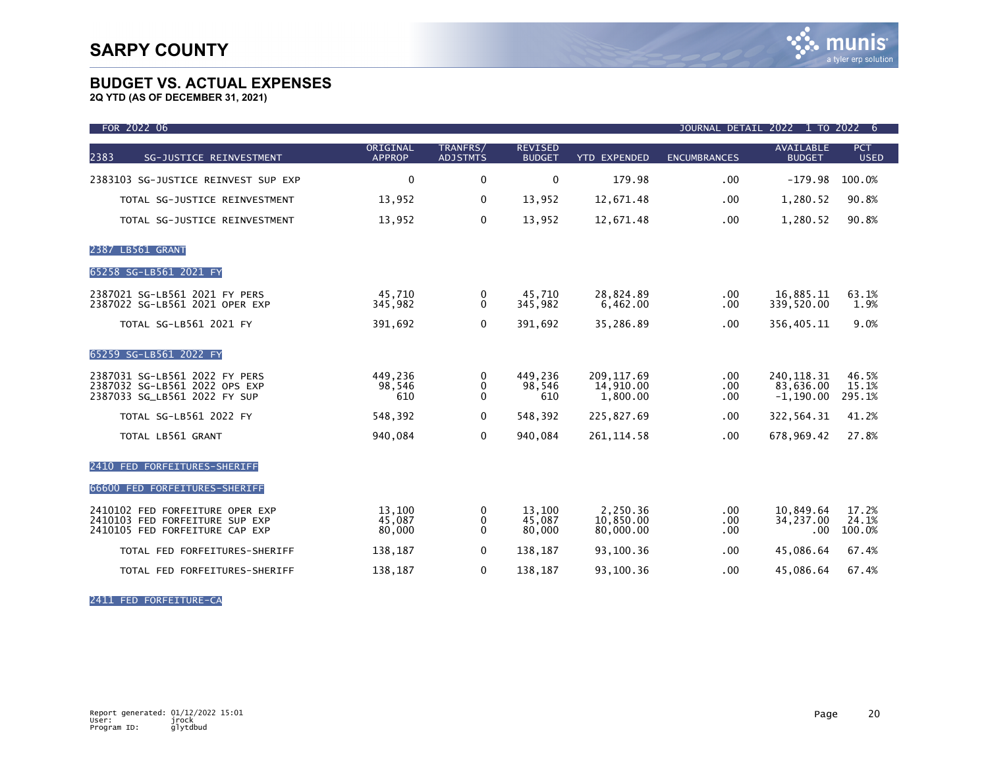**2Q YTD (AS OF DECEMBER 31, 2021)**

| FOR 2022 06                                                                                         |                            |                                   |                                 |                                     |                         | JOURNAL DETAIL 2022 1 TO 2022              | -6                        |
|-----------------------------------------------------------------------------------------------------|----------------------------|-----------------------------------|---------------------------------|-------------------------------------|-------------------------|--------------------------------------------|---------------------------|
| 2383<br>SG-JUSTICE REINVESTMENT                                                                     | ORIGINAL<br><b>APPROP</b>  | TRANFRS/<br><b>ADJSTMTS</b>       | <b>REVISED</b><br><b>BUDGET</b> | <b>YTD EXPENDED</b>                 | <b>ENCUMBRANCES</b>     | <b>AVAILABLE</b><br><b>BUDGET</b>          | <b>PCT</b><br><b>USED</b> |
| 2383103 SG-JUSTICE REINVEST SUP EXP                                                                 | $\mathbf{0}$               | $\mathbf 0$                       | $\mathbf 0$                     | 179.98                              | .00.                    | $-179.98$                                  | 100.0%                    |
| TOTAL SG-JUSTICE REINVESTMENT                                                                       | 13,952                     | $\mathbf 0$                       | 13,952                          | 12,671.48                           | .00                     | 1,280.52                                   | 90.8%                     |
| TOTAL SG-JUSTICE REINVESTMENT                                                                       | 13,952                     | $\mathbf 0$                       | 13,952                          | 12,671.48                           | .00                     | 1,280.52                                   | 90.8%                     |
| 2387 LB561 GRANT                                                                                    |                            |                                   |                                 |                                     |                         |                                            |                           |
| 65258 SG-LB561 2021 FY                                                                              |                            |                                   |                                 |                                     |                         |                                            |                           |
| 2387021 SG-LB561 2021 FY PERS<br>2387022 SG-LB561 2021 OPER EXP                                     | 45,710<br>345,982          | 0<br>$\Omega$                     | 45,710<br>345,982               | 28,824.89<br>6.462.00               | $.00 \,$<br>.00.        | 16,885.11<br>339,520.00                    | 63.1%<br>1.9%             |
| <b>TOTAL SG-LB561 2021 FY</b>                                                                       | 391,692                    | $\mathbf 0$                       | 391,692                         | 35,286.89                           | .00.                    | 356,405.11                                 | 9.0%                      |
| 65259 SG-LB561 2022 FY                                                                              |                            |                                   |                                 |                                     |                         |                                            |                           |
| 2387031 SG-LB561 2022 FY PERS<br>2387032 SG-LB561 2022 OPS EXP<br>2387033 SG_LB561 2022 FY SUP      | 449,236<br>98,546<br>610   | 0<br>$\mathbf{0}$<br>$\mathbf{0}$ | 449.236<br>98,546<br>610        | 209.117.69<br>14,910.00<br>1,800.00 | .00<br>.00.<br>.00.     | 240.118.31<br>83,636.00<br>$-1, 190.00$    | 46.5%<br>15.1%<br>295.1%  |
| TOTAL SG-LB561 2022 FY                                                                              | 548,392                    | $\mathbf{0}$                      | 548,392                         | 225,827.69                          | .00.                    | 322,564.31                                 | 41.2%                     |
| TOTAL LB561 GRANT                                                                                   | 940,084                    | $\mathbf 0$                       | 940,084                         | 261, 114.58                         | .00.                    | 678,969.42                                 | 27.8%                     |
| 2410 FED FORFEITURES-SHERIFF                                                                        |                            |                                   |                                 |                                     |                         |                                            |                           |
| 66600 FED FORFEITURES-SHERIFF                                                                       |                            |                                   |                                 |                                     |                         |                                            |                           |
| 2410102 FED FORFEITURE OPER EXP<br>2410103 FED FORFEITURE SUP EXP<br>2410105 FED FORFEITURE CAP EXP | 13,100<br>45,087<br>80,000 | 0<br>0<br>$\mathbf{0}$            | 13,100<br>45,087<br>80,000      | 2,250.36<br>10,850.00<br>80,000.00  | $.00 \,$<br>.00<br>.00. | 10,849.64<br>34,237.00<br>.00 <sub>1</sub> | 17.2%<br>24.1%<br>100.0%  |
| TOTAL FED FORFEITURES-SHERIFF                                                                       | 138,187                    | 0                                 | 138,187                         | 93,100.36                           | .00.                    | 45,086.64                                  | 67.4%                     |
| TOTAL FED FORFEITURES-SHERIFF                                                                       | 138,187                    | 0                                 | 138,187                         | 93,100.36                           | .00.                    | 45,086.64                                  | 67.4%                     |

2411 FED FORFEITURE-CA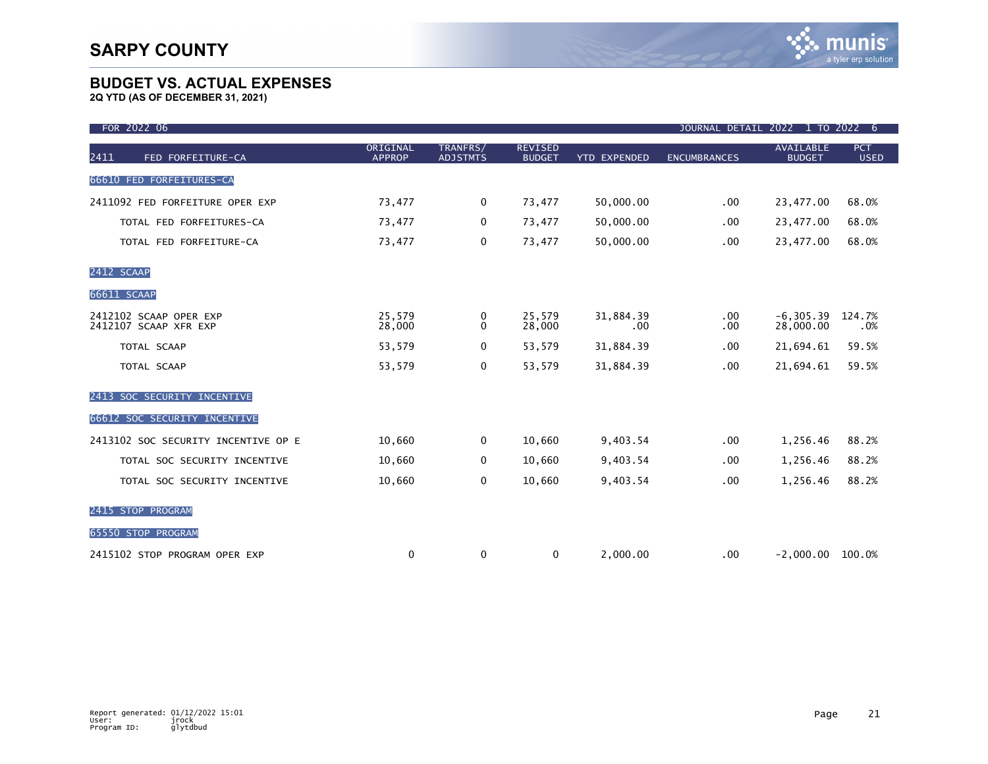| FOR 2022 06                                     |                           |                             |                                 |                     | JOURNAL DETAIL 2022 1 TO 2022 |                                   | - 6                       |
|-------------------------------------------------|---------------------------|-----------------------------|---------------------------------|---------------------|-------------------------------|-----------------------------------|---------------------------|
| 2411<br>FED FORFEITURE-CA                       | ORIGINAL<br><b>APPROP</b> | TRANFRS/<br><b>ADJSTMTS</b> | <b>REVISED</b><br><b>BUDGET</b> | <b>YTD EXPENDED</b> | <b>ENCUMBRANCES</b>           | <b>AVAILABLE</b><br><b>BUDGET</b> | <b>PCT</b><br><b>USED</b> |
| 66610 FED FORFEITURES-CA                        |                           |                             |                                 |                     |                               |                                   |                           |
| 2411092 FED FORFEITURE OPER EXP                 | 73,477                    | 0                           | 73,477                          | 50,000.00           | .00                           | 23,477.00                         | 68.0%                     |
| TOTAL FED FORFEITURES-CA                        | 73,477                    | 0                           | 73,477                          | 50,000.00           | .00                           | 23,477.00                         | 68.0%                     |
| TOTAL FED FORFEITURE-CA                         | 73,477                    | $\mathbf 0$                 | 73,477                          | 50,000.00           | .00                           | 23,477.00                         | 68.0%                     |
| 2412 SCAAP                                      |                           |                             |                                 |                     |                               |                                   |                           |
| 66611 SCAAP                                     |                           |                             |                                 |                     |                               |                                   |                           |
| 2412102 SCAAP OPER EXP<br>2412107 SCAAP XFR EXP | 25,579<br>28,000          | 0<br>0                      | 25,579<br>28,000                | 31,884.39<br>.00    | $.00 \,$<br>.00               | $-6, 305.39$<br>28,000.00         | 124.7%<br>.0%             |
| TOTAL SCAAP                                     | 53,579                    | 0                           | 53,579                          | 31,884.39           | .00                           | 21,694.61                         | 59.5%                     |
| TOTAL SCAAP                                     | 53,579                    | 0                           | 53,579                          | 31,884.39           | .00                           | 21,694.61                         | 59.5%                     |
| 2413 SOC SECURITY INCENTIVE                     |                           |                             |                                 |                     |                               |                                   |                           |
| 66612 SOC SECURITY INCENTIVE                    |                           |                             |                                 |                     |                               |                                   |                           |
| 2413102 SOC SECURITY INCENTIVE OP E             | 10,660                    | 0                           | 10,660                          | 9,403.54            | .00                           | 1,256.46                          | 88.2%                     |
| TOTAL SOC SECURITY INCENTIVE                    | 10,660                    | 0                           | 10,660                          | 9,403.54            | .00                           | 1,256.46                          | 88.2%                     |
| TOTAL SOC SECURITY INCENTIVE                    | 10,660                    | 0                           | 10,660                          | 9,403.54            | .00                           | 1,256.46                          | 88.2%                     |
| 2415 STOP PROGRAM                               |                           |                             |                                 |                     |                               |                                   |                           |
| 65550 STOP PROGRAM                              |                           |                             |                                 |                     |                               |                                   |                           |
| 2415102 STOP PROGRAM OPER EXP                   | 0                         | 0                           | 0                               | 2,000.00            | .00                           | $-2,000.00$                       | 100.0%                    |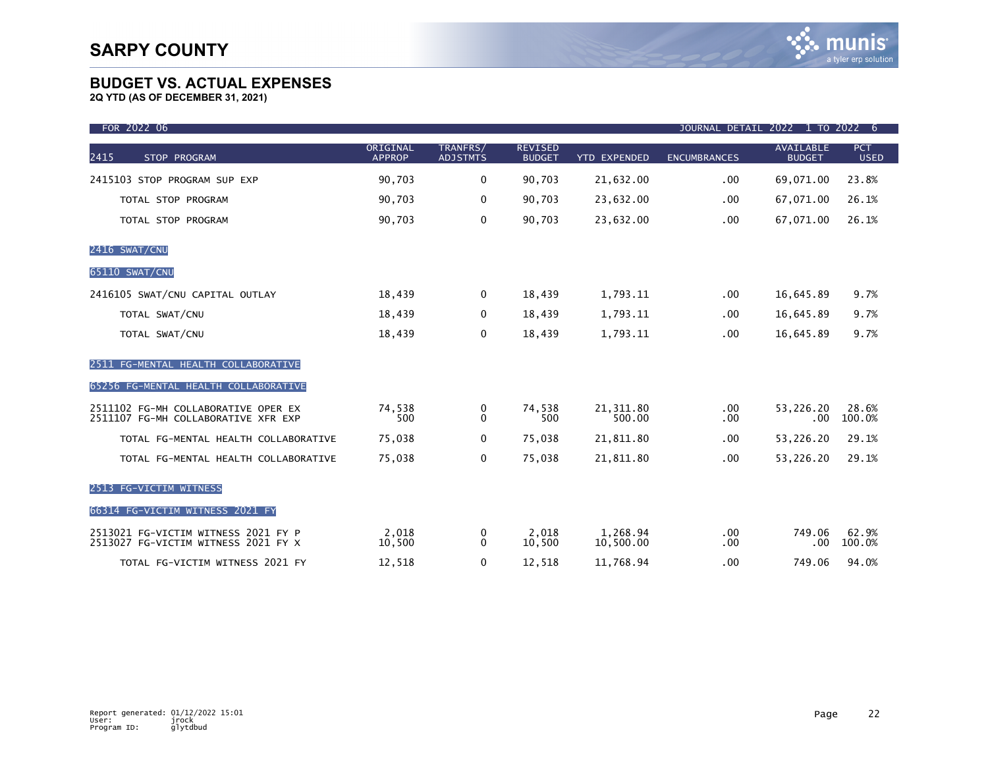| FOR 2022 06                                                                |                           |                             |                                 |                       | JOURNAL DETAIL      | 2022 1 TO 2022                    | -6                        |
|----------------------------------------------------------------------------|---------------------------|-----------------------------|---------------------------------|-----------------------|---------------------|-----------------------------------|---------------------------|
| 2415<br>STOP PROGRAM                                                       | ORIGINAL<br><b>APPROP</b> | TRANFRS/<br><b>ADJSTMTS</b> | <b>REVISED</b><br><b>BUDGET</b> | <b>YTD EXPENDED</b>   | <b>ENCUMBRANCES</b> | <b>AVAILABLE</b><br><b>BUDGET</b> | <b>PCT</b><br><b>USED</b> |
| 2415103 STOP PROGRAM SUP EXP                                               | 90,703                    | 0                           | 90,703                          | 21,632.00             | .00                 | 69,071.00                         | 23.8%                     |
| TOTAL STOP PROGRAM                                                         | 90,703                    | 0                           | 90,703                          | 23,632.00             | .00                 | 67,071.00                         | 26.1%                     |
| TOTAL STOP PROGRAM                                                         | 90,703                    | 0                           | 90,703                          | 23,632.00             | .00                 | 67,071.00                         | 26.1%                     |
| 2416 SWAT/CNU                                                              |                           |                             |                                 |                       |                     |                                   |                           |
| 65110 SWAT/CNU                                                             |                           |                             |                                 |                       |                     |                                   |                           |
| 2416105 SWAT/CNU CAPITAL OUTLAY                                            | 18,439                    | 0                           | 18,439                          | 1,793.11              | .00                 | 16,645.89                         | 9.7%                      |
| TOTAL SWAT/CNU                                                             | 18,439                    | 0                           | 18,439                          | 1,793.11              | $.00 \,$            | 16,645.89                         | 9.7%                      |
| TOTAL SWAT/CNU                                                             | 18,439                    | 0                           | 18,439                          | 1,793.11              | .00 <sub>1</sub>    | 16,645.89                         | 9.7%                      |
| FG-MENTAL HEALTH COLLABORATIVE<br>2511                                     |                           |                             |                                 |                       |                     |                                   |                           |
| 65256 FG-MENTAL HEALTH COLLABORATIVE                                       |                           |                             |                                 |                       |                     |                                   |                           |
| 2511102 FG-MH COLLABORATIVE OPER EX<br>2511107 FG-MH COLLABORATIVE XFR EXP | 74,538<br>500             | 0<br>$\mathbf{0}$           | 74,538<br>500                   | 21, 311.80<br>500.00  | $.00 \,$<br>.00     | 53,226.20<br>.00                  | 28.6%<br>100.0%           |
| TOTAL FG-MENTAL HEALTH COLLABORATIVE                                       | 75,038                    | 0                           | 75,038                          | 21,811.80             | .00                 | 53,226.20                         | 29.1%                     |
| TOTAL FG-MENTAL HEALTH COLLABORATIVE                                       | 75,038                    | 0                           | 75,038                          | 21,811.80             | .00                 | 53,226.20                         | 29.1%                     |
| 2513 FG-VICTIM WITNESS                                                     |                           |                             |                                 |                       |                     |                                   |                           |
| 66314 FG-VICTIM WITNESS 2021 FY                                            |                           |                             |                                 |                       |                     |                                   |                           |
| 2513021 FG-VICTIM WITNESS 2021 FY P<br>2513027 FG-VICTIM WITNESS 2021 FY X | 2.018<br>10,500           | 0<br>$\Omega$               | 2.018<br>10,500                 | 1,268.94<br>10,500.00 | $.00 \,$<br>.00     | 749.06<br>.00                     | 62.9%<br>100.0%           |
| TOTAL FG-VICTIM WITNESS 2021 FY                                            | 12,518                    | 0                           | 12,518                          | 11,768.94             | .00                 | 749.06                            | 94.0%                     |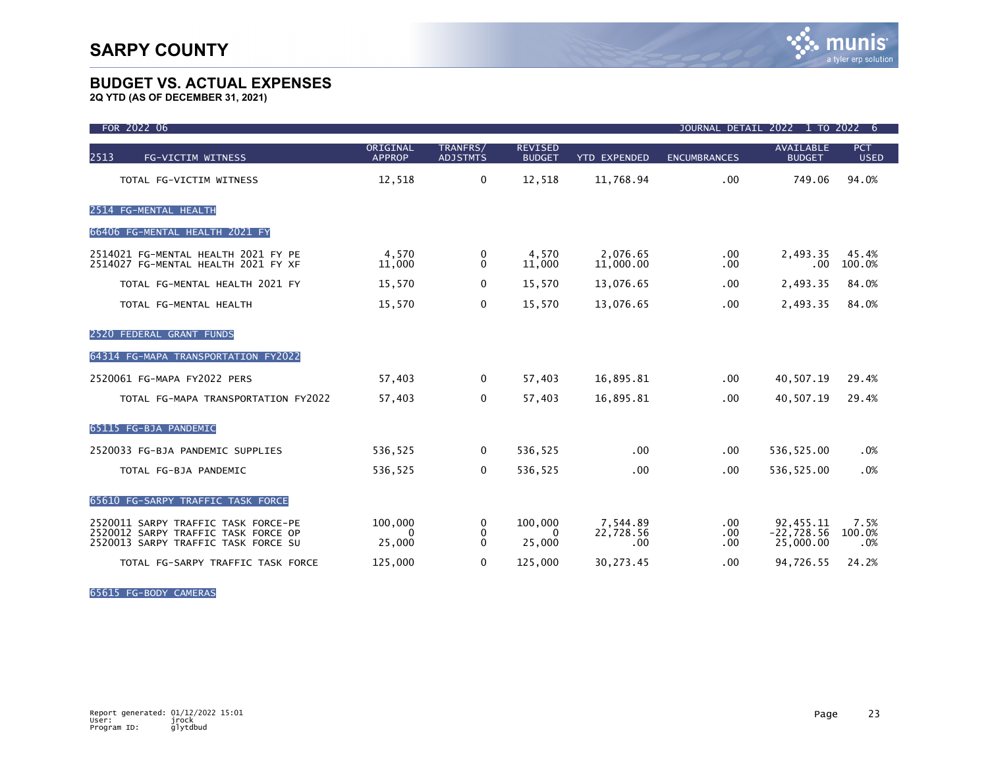**2Q YTD (AS OF DECEMBER 31, 2021)**

| FOR 2022 06                                                                                                       |                           |                             |                                 |                              | JOURNAL DETAIL 2022 1 TO 2022 6 |                                        |                       |
|-------------------------------------------------------------------------------------------------------------------|---------------------------|-----------------------------|---------------------------------|------------------------------|---------------------------------|----------------------------------------|-----------------------|
| 2513<br>FG-VICTIM WITNESS                                                                                         | ORIGINAL<br><b>APPROP</b> | TRANFRS/<br><b>ADJSTMTS</b> | <b>REVISED</b><br><b>BUDGET</b> | <b>YTD EXPENDED</b>          | <b>ENCUMBRANCES</b>             | AVAILABLE<br><b>BUDGET</b>             | PCT<br><b>USED</b>    |
| TOTAL FG-VICTIM WITNESS                                                                                           | 12,518                    | $\mathbf 0$                 | 12,518                          | 11,768.94                    | .00                             | 749.06                                 | 94.0%                 |
| 2514 FG-MENTAL HEALTH                                                                                             |                           |                             |                                 |                              |                                 |                                        |                       |
| 66406 FG-MENTAL HEALTH 2021 FY                                                                                    |                           |                             |                                 |                              |                                 |                                        |                       |
| 2514021 FG-MENTAL HEALTH 2021 FY PE<br>2514027 FG-MENTAL HEALTH 2021 FY XF                                        | 4,570<br>11,000           | 0<br>0                      | 4,570<br>11,000                 | 2,076.65<br>11,000.00        | $.00 \,$<br>.00                 | 2,493.35<br>.00                        | 45.4%<br>100.0%       |
| TOTAL FG-MENTAL HEALTH 2021 FY                                                                                    | 15,570                    | 0                           | 15,570                          | 13,076.65                    | .00                             | 2,493.35                               | 84.0%                 |
| TOTAL FG-MENTAL HEALTH                                                                                            | 15,570                    | 0                           | 15,570                          | 13,076.65                    | .00                             | 2,493.35                               | 84.0%                 |
| 2520 FEDERAL GRANT FUNDS                                                                                          |                           |                             |                                 |                              |                                 |                                        |                       |
| 64314 FG-MAPA TRANSPORTATION FY2022                                                                               |                           |                             |                                 |                              |                                 |                                        |                       |
| 2520061 FG-MAPA FY2022 PERS                                                                                       | 57,403                    | $\Omega$                    | 57,403                          | 16,895.81                    | .00                             | 40,507.19                              | 29.4%                 |
| TOTAL FG-MAPA TRANSPORTATION FY2022                                                                               | 57,403                    | 0                           | 57,403                          | 16,895.81                    | .00                             | 40,507.19                              | 29.4%                 |
| 65115 FG-BJA PANDEMIC                                                                                             |                           |                             |                                 |                              |                                 |                                        |                       |
| 2520033 FG-BJA PANDEMIC SUPPLIES                                                                                  | 536,525                   | $\mathbf{0}$                | 536,525                         | .00                          | .00                             | 536,525.00                             | .0%                   |
| TOTAL FG-BJA PANDEMIC                                                                                             | 536,525                   | 0                           | 536,525                         | .00                          | .00                             | 536,525.00                             | .0%                   |
| 65610 FG-SARPY TRAFFIC TASK FORCE                                                                                 |                           |                             |                                 |                              |                                 |                                        |                       |
| 2520011 SARPY TRAFFIC TASK FORCE-PE<br>2520012 SARPY TRAFFIC TASK FORCE OP<br>2520013 SARPY TRAFFIC TASK FORCE SU | 100,000<br>0<br>25,000    | 0<br>0<br>$\mathbf{0}$      | 100,000<br>$\Omega$<br>25,000   | 7.544.89<br>22,728.56<br>.00 | .00<br>.00<br>.00               | 92.455.11<br>$-22,728.56$<br>25,000.00 | 7.5%<br>100.0%<br>.0% |
| TOTAL FG-SARPY TRAFFIC TASK FORCE                                                                                 | 125,000                   | 0                           | 125,000                         | 30,273.45                    | .00                             | 94,726.55                              | 24.2%                 |

65615 FG-BODY CAMERAS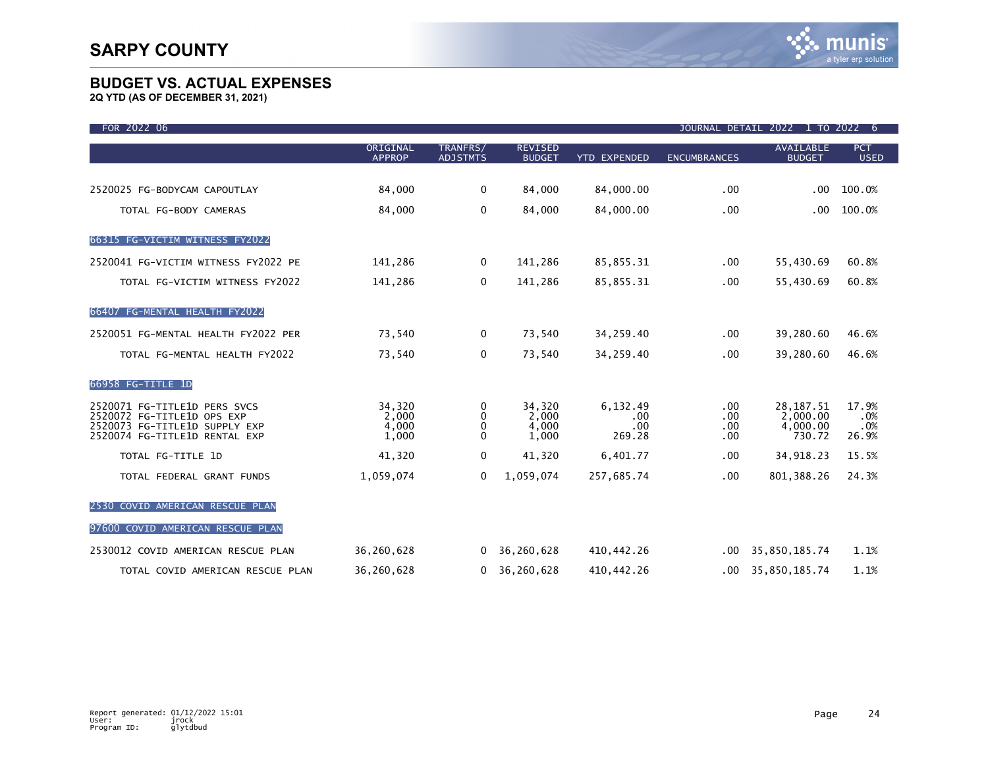| FOR 2022 06                                                                                                                  |                                   |                                        |                                   |                                  |                             | JOURNAL DETAIL 2022 1 TO 2022                 | 6 <sub>o</sub>               |
|------------------------------------------------------------------------------------------------------------------------------|-----------------------------------|----------------------------------------|-----------------------------------|----------------------------------|-----------------------------|-----------------------------------------------|------------------------------|
|                                                                                                                              | ORIGINAL<br><b>APPROP</b>         | TRANFRS/<br><b>ADJSTMTS</b>            | <b>REVISED</b><br><b>BUDGET</b>   | <b>YTD EXPENDED</b>              | <b>ENCUMBRANCES</b>         | <b>AVAILABLE</b><br><b>BUDGET</b>             | <b>PCT</b><br><b>USED</b>    |
| 2520025 FG-BODYCAM CAPOUTLAY                                                                                                 | 84,000                            | $\mathbf 0$                            | 84,000                            | 84,000.00                        | .00.                        | .00 <sub>1</sub>                              | 100.0%                       |
| TOTAL FG-BODY CAMERAS                                                                                                        | 84,000                            | 0                                      | 84,000                            | 84,000.00                        | .00.                        | .00                                           | 100.0%                       |
| 66315 FG-VICTIM WITNESS FY2022                                                                                               |                                   |                                        |                                   |                                  |                             |                                               |                              |
| 2520041 FG-VICTIM WITNESS FY2022 PE                                                                                          | 141,286                           | 0                                      | 141,286                           | 85,855.31                        | .00.                        | 55,430.69                                     | 60.8%                        |
| TOTAL FG-VICTIM WITNESS FY2022                                                                                               | 141,286                           | 0                                      | 141,286                           | 85,855.31                        | .00.                        | 55,430.69                                     | 60.8%                        |
| 66407 FG-MENTAL HEALTH FY2022                                                                                                |                                   |                                        |                                   |                                  |                             |                                               |                              |
| 2520051 FG-MENTAL HEALTH FY2022 PER                                                                                          | 73,540                            | 0                                      | 73,540                            | 34,259.40                        | .00.                        | 39,280.60                                     | 46.6%                        |
| TOTAL FG-MENTAL HEALTH FY2022                                                                                                | 73,540                            | 0                                      | 73,540                            | 34,259.40                        | .00.                        | 39,280.60                                     | 46.6%                        |
| 66958 FG-TITLE 1D                                                                                                            |                                   |                                        |                                   |                                  |                             |                                               |                              |
| 2520071 FG-TITLE1D PERS SVCS<br>2520072 FG-TITLE1D OPS EXP<br>2520073 FG-TITLE1D SUPPLY EXP<br>2520074 FG-TITLE1D RENTAL EXP | 34,320<br>2,000<br>4,000<br>1,000 | 0<br>$\mathbf{0}$<br>0<br>$\mathbf{0}$ | 34,320<br>2,000<br>4,000<br>1,000 | 6,132.49<br>.00<br>.00<br>269.28 | .00.<br>.00<br>.00.<br>.00. | 28, 187. 51<br>2,000.00<br>4,000.00<br>730.72 | 17.9%<br>.0%<br>.0%<br>26.9% |
| TOTAL FG-TITLE 1D                                                                                                            | 41,320                            | 0                                      | 41,320                            | 6,401.77                         | .00.                        | 34,918.23                                     | 15.5%                        |
| TOTAL FEDERAL GRANT FUNDS                                                                                                    | 1,059,074                         | 0                                      | 1,059,074                         | 257,685.74                       | .00.                        | 801,388.26                                    | 24.3%                        |
| 2530 COVID AMERICAN RESCUE PLAN                                                                                              |                                   |                                        |                                   |                                  |                             |                                               |                              |
| 97600 COVID AMERICAN RESCUE PLAN                                                                                             |                                   |                                        |                                   |                                  |                             |                                               |                              |
| 2530012 COVID AMERICAN RESCUE PLAN                                                                                           | 36,260,628                        | $\mathbf{0}$                           | 36,260,628                        | 410,442.26                       | .00                         | 35,850,185.74                                 | 1.1%                         |
| TOTAL COVID AMERICAN RESCUE PLAN                                                                                             | 36,260,628                        | $\mathbf{0}$                           | 36,260,628                        | 410,442.26                       | .00                         | 35,850,185.74                                 | 1.1%                         |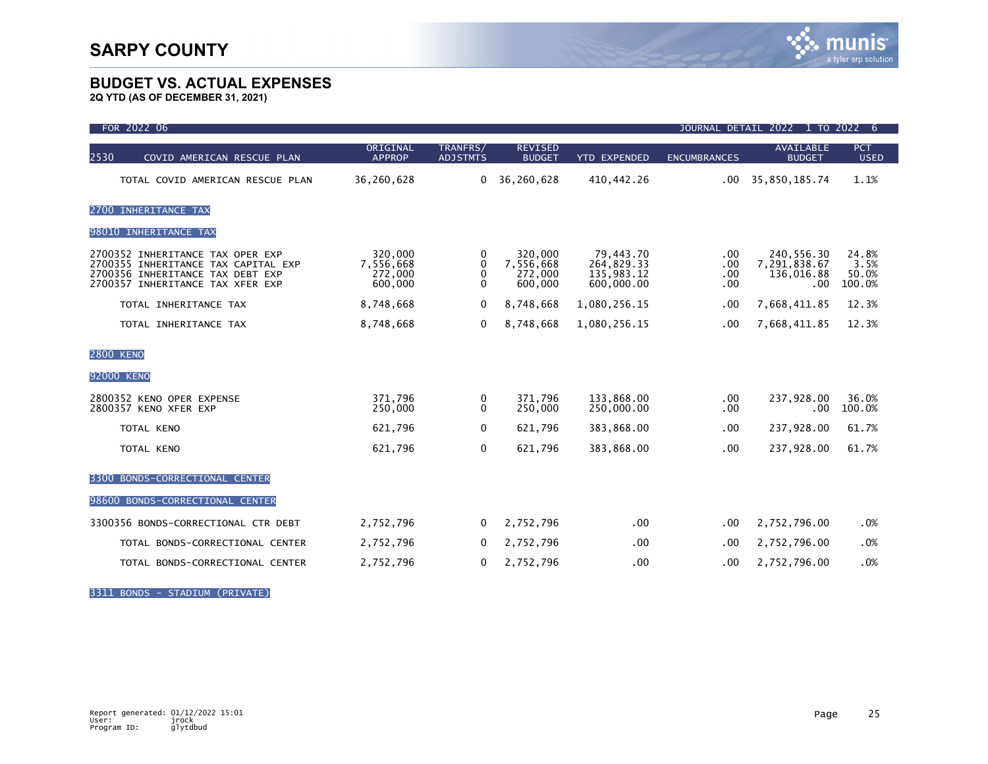**2Q YTD (AS OF DECEMBER 31, 2021)**

| FOR 2022 06                                                                                                                                     | JOURNAL DETAIL 2022 1 TO 2022 6            |                                               |                                            |                                                     |                          |                                                 |                                  |
|-------------------------------------------------------------------------------------------------------------------------------------------------|--------------------------------------------|-----------------------------------------------|--------------------------------------------|-----------------------------------------------------|--------------------------|-------------------------------------------------|----------------------------------|
| 2530<br>COVID AMERICAN RESCUE PLAN                                                                                                              | ORIGINAL<br><b>APPROP</b>                  | TRANFRS/<br><b>ADJSTMTS</b>                   | <b>REVISED</b><br><b>BUDGET</b>            | <b>YTD EXPENDED</b>                                 | <b>ENCUMBRANCES</b>      | <b>AVAILABLE</b><br><b>BUDGET</b>               | <b>PCT</b><br><b>USED</b>        |
| TOTAL COVID AMERICAN RESCUE PLAN                                                                                                                | 36,260,628                                 | $\Omega$                                      | 36,260,628                                 | 410, 442.26                                         | .00                      | 35,850,185.74                                   | 1.1%                             |
| 2700 INHERITANCE TAX                                                                                                                            |                                            |                                               |                                            |                                                     |                          |                                                 |                                  |
| 98010 INHERITANCE TAX                                                                                                                           |                                            |                                               |                                            |                                                     |                          |                                                 |                                  |
| 2700352 INHERITANCE TAX OPER EXP<br>2700355 INHERITANCE TAX CAPITAL EXP<br>2700356 INHERITANCE TAX DEBT EXP<br>2700357 INHERITANCE TAX XFER EXP | 320,000<br>7,556,668<br>272,000<br>600,000 | 0<br>$\mathbf{0}$<br>$\Omega$<br>$\mathbf{0}$ | 320,000<br>7,556,668<br>272,000<br>600,000 | 79,443.70<br>264,829.33<br>135,983.12<br>600,000.00 | .00<br>.00<br>.00<br>.00 | 240,556.30<br>7,291,838.67<br>136,016.88<br>.00 | 24.8%<br>3.5%<br>50.0%<br>100.0% |
| TOTAL INHERITANCE TAX                                                                                                                           | 8,748,668                                  | 0                                             | 8,748,668                                  | 1,080,256.15                                        | .00                      | 7,668,411.85                                    | 12.3%                            |
| TOTAL INHERITANCE TAX                                                                                                                           | 8,748,668                                  | $\mathbf{0}$                                  | 8,748,668                                  | 1,080,256.15                                        | .00                      | 7,668,411.85                                    | 12.3%                            |
| <b>2800 KENO</b>                                                                                                                                |                                            |                                               |                                            |                                                     |                          |                                                 |                                  |
| 92000 KENO                                                                                                                                      |                                            |                                               |                                            |                                                     |                          |                                                 |                                  |
| 2800352 KENO OPER EXPENSE<br>2800357 KENO XFER EXP                                                                                              | 371.796<br>250,000                         | 0<br>$\Omega$                                 | 371.796<br>250,000                         | 133.868.00<br>250,000.00                            | $.00 \,$<br>.00          | 237,928.00<br>.00                               | 36.0%<br>100.0%                  |
| TOTAL KENO                                                                                                                                      | 621,796                                    | $\mathbf 0$                                   | 621,796                                    | 383,868.00                                          | .00                      | 237,928.00                                      | 61.7%                            |
| TOTAL KENO                                                                                                                                      | 621,796                                    | $\mathbf 0$                                   | 621,796                                    | 383,868.00                                          | .00                      | 237,928.00                                      | 61.7%                            |
| 3300 BONDS-CORRECTIONAL CENTER                                                                                                                  |                                            |                                               |                                            |                                                     |                          |                                                 |                                  |
| 98600 BONDS-CORRECTIONAL CENTER                                                                                                                 |                                            |                                               |                                            |                                                     |                          |                                                 |                                  |
| 3300356 BONDS-CORRECTIONAL CTR DEBT                                                                                                             | 2,752,796                                  | $\mathbf{0}$                                  | 2,752,796                                  | $.00 \,$                                            | $.00 \,$                 | 2,752,796.00                                    | .0%                              |
| TOTAL BONDS-CORRECTIONAL CENTER                                                                                                                 | 2,752,796                                  | $\mathbf 0$                                   | 2,752,796                                  | .00                                                 | .00                      | 2,752,796.00                                    | .0%                              |
| TOTAL BONDS-CORRECTIONAL CENTER                                                                                                                 | 2,752,796                                  | 0                                             | 2,752,796                                  | .00                                                 | .00                      | 2,752,796.00                                    | .0%                              |

3311 BONDS - STADIUM (PRIVATE)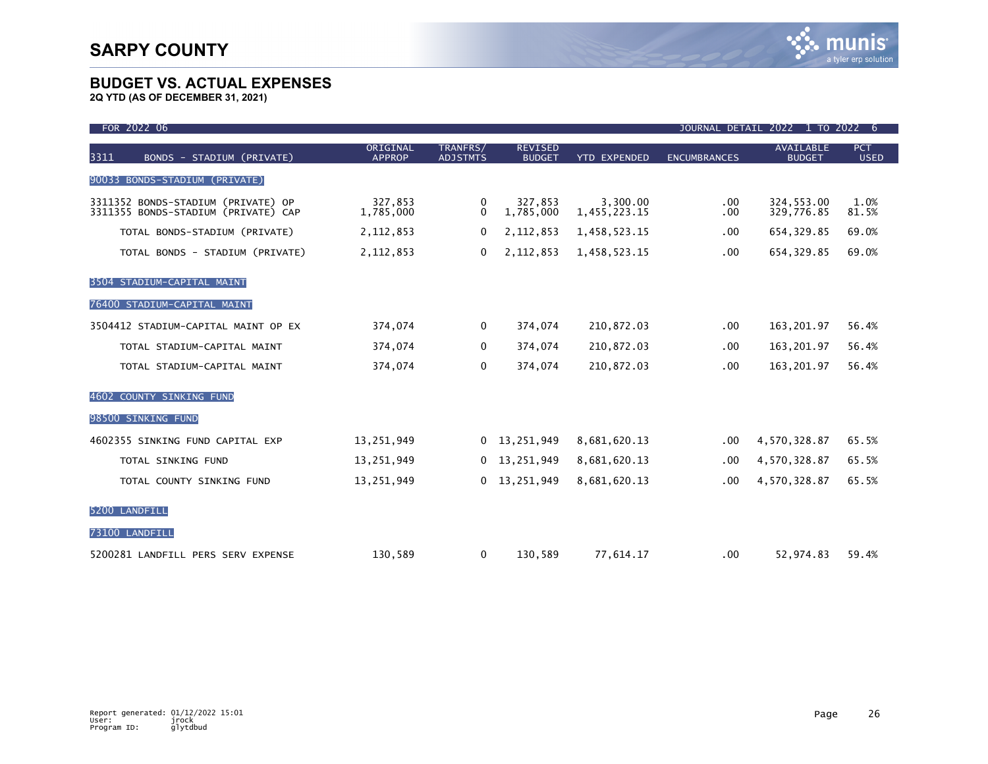| FOR 2022 06                                                               |                           |                             |                                 |                          |                     | JOURNAL DETAIL 2022 1 TO 2022 6   |                           |
|---------------------------------------------------------------------------|---------------------------|-----------------------------|---------------------------------|--------------------------|---------------------|-----------------------------------|---------------------------|
| 3311<br>BONDS - STADIUM (PRIVATE)                                         | ORIGINAL<br><b>APPROP</b> | TRANFRS/<br><b>ADJSTMTS</b> | <b>REVISED</b><br><b>BUDGET</b> | <b>YTD EXPENDED</b>      | <b>ENCUMBRANCES</b> | <b>AVAILABLE</b><br><b>BUDGET</b> | <b>PCT</b><br><b>USED</b> |
| BONDS-STADIUM (PRIVATE)<br>90033                                          |                           |                             |                                 |                          |                     |                                   |                           |
| 3311352 BONDS-STADIUM (PRIVATE) OP<br>3311355 BONDS-STADIUM (PRIVATE) CAP | 327,853<br>1,785,000      | 0<br>$\Omega$               | 327,853<br>1,785,000            | 3,300.00<br>1,455,223.15 | $.00 \,$<br>.00     | 324,553.00<br>329,776.85          | 1.0%<br>81.5%             |
| TOTAL BONDS-STADIUM (PRIVATE)                                             | 2, 112, 853               | 0                           | 2,112,853                       | 1,458,523.15             | .00                 | 654, 329.85                       | 69.0%                     |
| TOTAL BONDS - STADIUM (PRIVATE)                                           | 2, 112, 853               | 0                           | 2,112,853                       | 1,458,523.15             | .00                 | 654, 329.85                       | 69.0%                     |
| 3504 STADIUM-CAPITAL MAINT                                                |                           |                             |                                 |                          |                     |                                   |                           |
| 76400 STADIUM-CAPITAL MAINT                                               |                           |                             |                                 |                          |                     |                                   |                           |
| 3504412 STADIUM-CAPITAL MAINT OP EX                                       | 374,074                   | 0                           | 374,074                         | 210,872.03               | $.00 \,$            | 163,201.97                        | 56.4%                     |
| TOTAL STADIUM-CAPITAL MAINT                                               | 374,074                   | 0                           | 374,074                         | 210,872.03               | .00                 | 163, 201.97                       | 56.4%                     |
| TOTAL STADIUM-CAPITAL MAINT                                               | 374,074                   | $\mathbf{0}$                | 374,074                         | 210,872.03               | .00.                | 163,201.97                        | 56.4%                     |
| 4602 COUNTY SINKING FUND                                                  |                           |                             |                                 |                          |                     |                                   |                           |
| 98500 SINKING FUND                                                        |                           |                             |                                 |                          |                     |                                   |                           |
| 4602355 SINKING FUND CAPITAL EXP                                          | 13,251,949                | $\Omega$                    | 13,251,949                      | 8,681,620.13             | $.00 \,$            | 4,570,328.87                      | 65.5%                     |
| TOTAL SINKING FUND                                                        | 13,251,949                | 0                           | 13,251,949                      | 8,681,620.13             | .00                 | 4,570,328.87                      | 65.5%                     |
| TOTAL COUNTY SINKING FUND                                                 | 13,251,949                | 0                           | 13,251,949                      | 8,681,620.13             | .00                 | 4,570,328.87                      | 65.5%                     |
| 5200 LANDFILL                                                             |                           |                             |                                 |                          |                     |                                   |                           |
| 73100 LANDFILL                                                            |                           |                             |                                 |                          |                     |                                   |                           |
| 5200281 LANDFILL PERS SERV EXPENSE                                        | 130,589                   | 0                           | 130,589                         | 77,614.17                | $.00 \,$            | 52,974.83                         | 59.4%                     |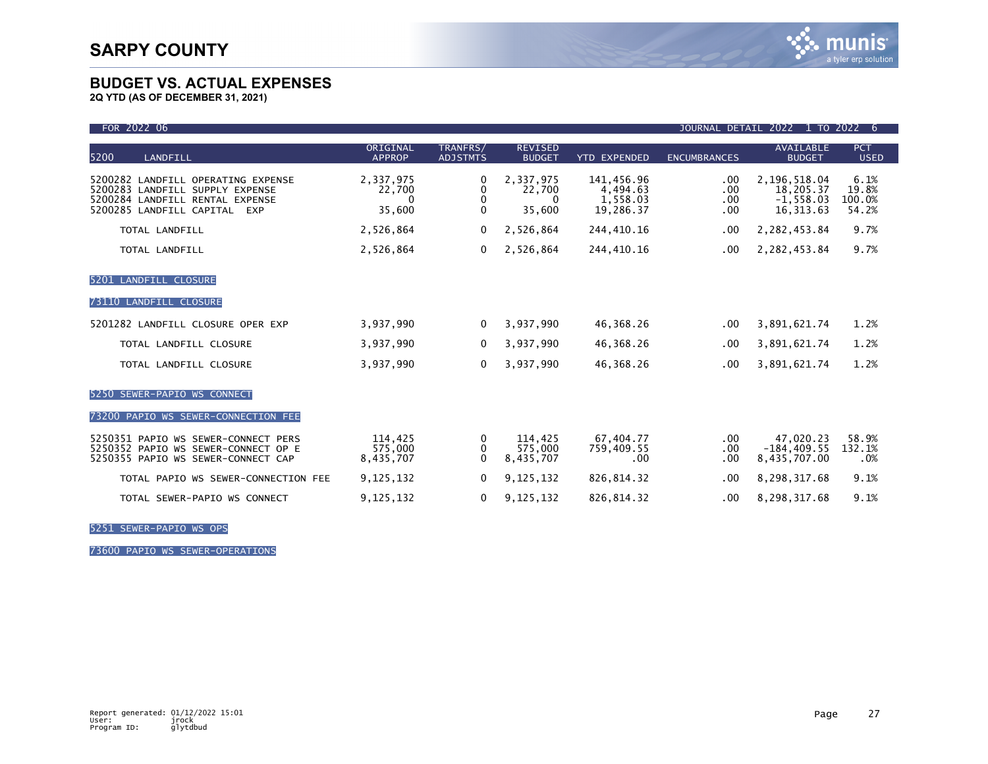**2Q YTD (AS OF DECEMBER 31, 2021)**

| FOR 2022 06<br>JOURNAL DETAIL 2022 1 TO 2022<br>6                                                                                                  |                                           |                             |                                    |                                                 |                          |                                                         |                                  |
|----------------------------------------------------------------------------------------------------------------------------------------------------|-------------------------------------------|-----------------------------|------------------------------------|-------------------------------------------------|--------------------------|---------------------------------------------------------|----------------------------------|
| 5200<br>LANDFILL                                                                                                                                   | ORIGINAL<br><b>APPROP</b>                 | TRANFRS/<br><b>ADJSTMTS</b> | <b>REVISED</b><br><b>BUDGET</b>    | <b>YTD EXPENDED</b>                             | <b>ENCUMBRANCES</b>      | <b>AVAILABLE</b><br><b>BUDGET</b>                       | <b>PCT</b><br><b>USED</b>        |
| 5200282 LANDFILL OPERATING EXPENSE<br>5200283 LANDFILL SUPPLY EXPENSE<br>5200284 LANDFILL RENTAL EXPENSE<br>5200285 LANDFILL CAPITAL<br><b>EXP</b> | 2,337,975<br>22,700<br>$\Omega$<br>35,600 | 0<br>0<br>0<br>$\mathbf{0}$ | 2,337,975<br>22,700<br>0<br>35,600 | 141,456.96<br>4,494.63<br>1,558.03<br>19,286.37 | .00<br>.00<br>.00<br>.00 | 2,196,518.04<br>18,205.37<br>$-1,558.03$<br>16, 313, 63 | 6.1%<br>19.8%<br>100.0%<br>54.2% |
| TOTAL LANDFILL                                                                                                                                     | 2,526,864                                 | $\mathbf{0}$                | 2,526,864                          | 244,410.16                                      | .00                      | 2,282,453.84                                            | 9.7%                             |
| TOTAL LANDFILL                                                                                                                                     | 2,526,864                                 | 0                           | 2,526,864                          | 244,410.16                                      | .00                      | 2,282,453.84                                            | 9.7%                             |
| 5201 LANDFILL CLOSURE                                                                                                                              |                                           |                             |                                    |                                                 |                          |                                                         |                                  |
| 73110 LANDFILL CLOSURE                                                                                                                             |                                           |                             |                                    |                                                 |                          |                                                         |                                  |
| 5201282 LANDFILL CLOSURE OPER EXP                                                                                                                  | 3,937,990                                 | $\Omega$                    | 3,937,990                          | 46,368.26                                       | .00.                     | 3,891,621.74                                            | 1.2%                             |
| TOTAL LANDFILL CLOSURE                                                                                                                             | 3,937,990                                 | $\mathbf{0}$                | 3,937,990                          | 46,368.26                                       | .00.                     | 3,891,621.74                                            | 1.2%                             |
| TOTAL LANDFILL CLOSURE                                                                                                                             | 3,937,990                                 | $\mathbf{0}$                | 3,937,990                          | 46,368.26                                       | .00                      | 3,891,621.74                                            | 1.2%                             |
| 5250 SEWER-PAPIO WS CONNECT                                                                                                                        |                                           |                             |                                    |                                                 |                          |                                                         |                                  |
| 73200 PAPIO WS SEWER-CONNECTION FEE                                                                                                                |                                           |                             |                                    |                                                 |                          |                                                         |                                  |
| 5250351 PAPIO WS SEWER-CONNECT PERS<br>5250352 PAPIO WS SEWER-CONNECT OP E<br>5250355 PAPIO WS SEWER-CONNECT CAP                                   | 114,425<br>575,000<br>8,435,707           | 0<br>0<br>$\Omega$          | 114,425<br>575,000<br>8,435,707    | 67.404.77<br>759,409.55<br>.00                  | .00<br>.00<br>.00        | 47,020.23<br>$-184, 409.55$<br>8,435,707.00             | 58.9%<br>132.1%<br>.0%           |
| TOTAL PAPIO WS SEWER-CONNECTION FEE                                                                                                                | 9,125,132                                 | 0                           | 9,125,132                          | 826,814.32                                      | .00                      | 8,298,317.68                                            | 9.1%                             |
| TOTAL SEWER-PAPIO WS CONNECT                                                                                                                       | 9,125,132                                 | 0                           | 9,125,132                          | 826,814.32                                      | .00.                     | 8,298,317.68                                            | 9.1%                             |

5251 SEWER-PAPIO WS OPS

73600 PAPIO WS SEWER-OPERATIONS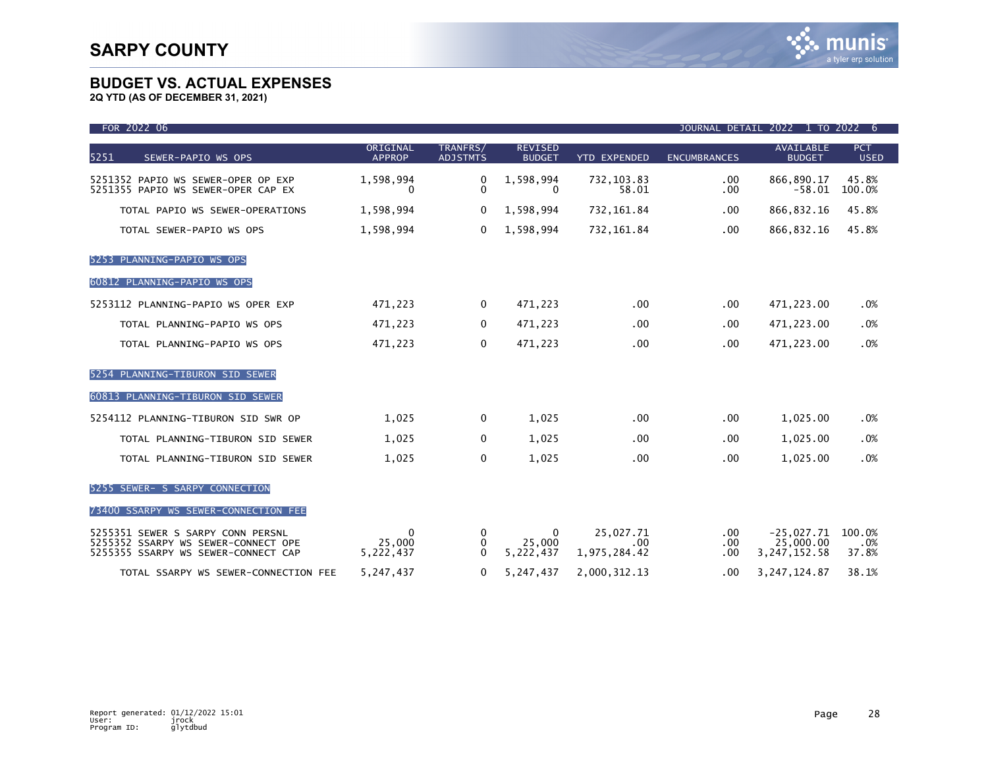| FOR 2022 06                                                                                                     |                                 |                             |                                     |                                  |                                  | JOURNAL DETAIL 2022 1 TO 2022 6             |                           |
|-----------------------------------------------------------------------------------------------------------------|---------------------------------|-----------------------------|-------------------------------------|----------------------------------|----------------------------------|---------------------------------------------|---------------------------|
| 5251<br>SEWER-PAPIO WS OPS                                                                                      | ORIGINAL<br><b>APPROP</b>       | TRANFRS/<br><b>ADJSTMTS</b> | <b>REVISED</b><br><b>BUDGET</b>     | <b>YTD EXPENDED</b>              | <b>ENCUMBRANCES</b>              | <b>AVAILABLE</b><br><b>BUDGET</b>           | <b>PCT</b><br><b>USED</b> |
| 5251352 PAPIO WS SEWER-OPER OP EXP<br>5251355 PAPIO WS SEWER-OPER CAP EX                                        | 1,598,994<br>$\Omega$           | 0<br>$\mathbf{0}$           | 1,598,994<br>$\Omega$               | 732, 103.83<br>58.01             | $.00 \,$<br>$.00 \,$             | 866,890.17<br>$-58.01$                      | 45.8%<br>100.0%           |
| TOTAL PAPIO WS SEWER-OPERATIONS                                                                                 | 1,598,994                       | 0                           | 1,598,994                           | 732,161.84                       | $.00 \,$                         | 866, 832.16                                 | 45.8%                     |
| TOTAL SEWER-PAPIO WS OPS                                                                                        | 1,598,994                       | $\Omega$                    | 1,598,994                           | 732,161.84                       | $.00 \,$                         | 866, 832.16                                 | 45.8%                     |
| 5253 PLANNING-PAPIO WS OPS                                                                                      |                                 |                             |                                     |                                  |                                  |                                             |                           |
| 60812 PLANNING-PAPIO WS OPS                                                                                     |                                 |                             |                                     |                                  |                                  |                                             |                           |
| 5253112 PLANNING-PAPIO WS OPER EXP                                                                              | 471,223                         | 0                           | 471,223                             | .00                              | $.00 \,$                         | 471,223.00                                  | .0%                       |
| TOTAL PLANNING-PAPIO WS OPS                                                                                     | 471,223                         | $\Omega$                    | 471,223                             | $.00 \times$                     | $.00 \,$                         | 471,223.00                                  | .0%                       |
| TOTAL PLANNING-PAPIO WS OPS                                                                                     | 471,223                         | 0                           | 471,223                             | .00                              | .00                              | 471,223.00                                  | .0%                       |
| 5254 PLANNING-TIBURON SID SEWER                                                                                 |                                 |                             |                                     |                                  |                                  |                                             |                           |
| 60813 PLANNING-TIBURON SID SEWER                                                                                |                                 |                             |                                     |                                  |                                  |                                             |                           |
| 5254112 PLANNING-TIBURON SID SWR OP                                                                             | 1,025                           | $\mathbf{0}$                | 1,025                               | .00                              | .00                              | 1,025.00                                    | .0%                       |
| TOTAL PLANNING-TIBURON SID SEWER                                                                                | 1,025                           | 0                           | 1,025                               | .00                              | $.00 \,$                         | 1,025.00                                    | .0%                       |
| TOTAL PLANNING-TIBURON SID SEWER                                                                                | 1,025                           | $\mathbf{0}$                | 1,025                               | .00                              | .00                              | 1,025.00                                    | .0%                       |
| 5255 SEWER- S SARPY CONNECTION                                                                                  |                                 |                             |                                     |                                  |                                  |                                             |                           |
| 73400 SSARPY WS SEWER-CONNECTION FEE                                                                            |                                 |                             |                                     |                                  |                                  |                                             |                           |
| 5255351 SEWER S SARPY CONN PERSNL<br>5255352 SSARPY WS SEWER-CONNECT OPE<br>5255355 SSARPY WS SEWER-CONNECT CAP | $\Omega$<br>25,000<br>5,222,437 | $\Omega$<br>0<br>$\Omega$   | $\mathbf{0}$<br>25,000<br>5,222,437 | 25,027.71<br>.00<br>1,975,284.42 | $.00 \,$<br>$.00 \,$<br>$.00 \,$ | $-25,027.71$<br>25,000,00<br>3, 247, 152.58 | 100.0%<br>.0%<br>37.8%    |
| TOTAL SSARPY WS SEWER-CONNECTION FEE                                                                            | 5,247,437                       | 0                           | 5,247,437                           | 2,000,312.13                     | $.00 \,$                         | 3, 247, 124.87                              | 38.1%                     |